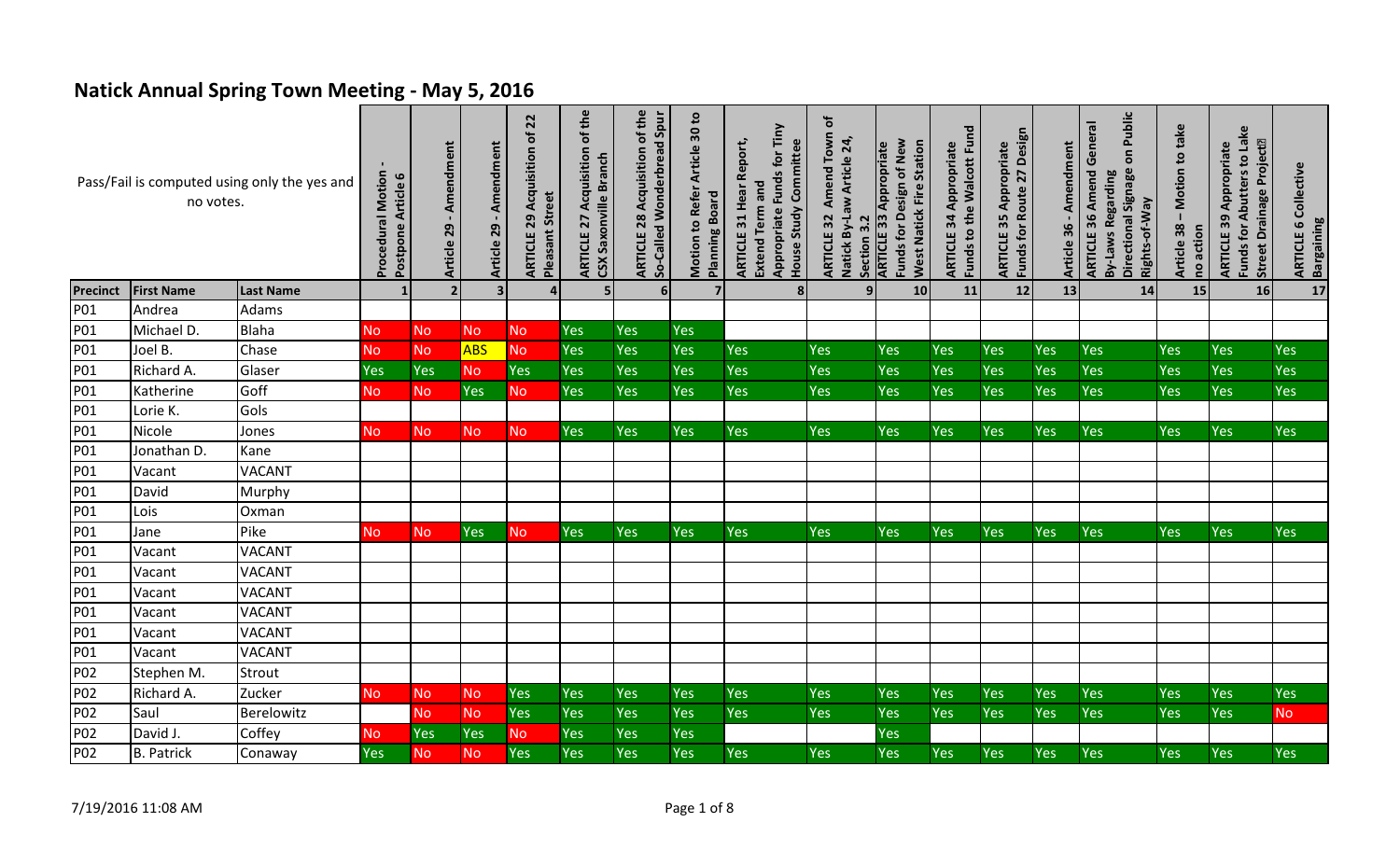## **Natick Annual Spring Town Meeting - May 5, 2016**

|                 | no votes.         | Pass/Fail is computed using only the yes and | <b>Procedural Motion</b><br>Postpone Article 6 | - Amendment<br>Article 29 | Amendment<br>Article 29 | 22<br>đ<br>Acquisition<br><b>Pleasant Street</b><br>29<br>ARTICLE | <b>ARTICLE 27 Acquisition of the</b><br>CSX Saxonville Branch | 28 Acquisition of the<br>So-Called Wonderbread Spur<br>ARTICLE | Motion to Refer Article 30 to<br><b>Planning Board</b> | Appropriate Funds for Tiny<br>31 Hear Report,<br>House Study Committee<br>Extend Term and<br><b>ARTICLE</b> | Amend Town of<br>Natick By-Law Article 24,<br>ARTICLE 32<br>Section 3.2 | Funds for Design of New<br><b>West Natick Fire Station</b><br><b>ARTICLE 33 Appropriate</b> | <b>Funds to the Walcott Fund</b><br>Appropriate<br>ARTICLE 34 | Funds for Route 27 Design<br>Appropriate<br>35<br>ARTICLE | Amendment<br>Article 36 | Public<br><b>ARTICLE 36 Amend General</b><br>$\overline{\mathbf{5}}$<br>Directional Signage<br><b>By-Laws Regarding</b><br>Rights-of-Way | - Motion to take<br>Article 38<br>no action | Funds for Abutters to Lake<br>Street Drainage Project <sup>[2]</sup><br><b>ARTICLE 39 Appropriate</b> | Collective<br><b>Bargaining</b><br>$\mathbf{c}$<br><b>ARTICLE</b> |
|-----------------|-------------------|----------------------------------------------|------------------------------------------------|---------------------------|-------------------------|-------------------------------------------------------------------|---------------------------------------------------------------|----------------------------------------------------------------|--------------------------------------------------------|-------------------------------------------------------------------------------------------------------------|-------------------------------------------------------------------------|---------------------------------------------------------------------------------------------|---------------------------------------------------------------|-----------------------------------------------------------|-------------------------|------------------------------------------------------------------------------------------------------------------------------------------|---------------------------------------------|-------------------------------------------------------------------------------------------------------|-------------------------------------------------------------------|
| Precinct        | <b>First Name</b> | <b>Last Name</b>                             |                                                | 2 <sup>1</sup>            | 3 <sup>1</sup>          |                                                                   | 5                                                             | $6 \overline{6}$                                               | $\overline{7}$                                         |                                                                                                             | 9                                                                       | 10                                                                                          | 11                                                            | 12                                                        | 13                      | 14                                                                                                                                       | 15                                          | 16                                                                                                    | $\overline{17}$                                                   |
| P01             | Andrea            | Adams                                        |                                                |                           |                         |                                                                   |                                                               |                                                                |                                                        |                                                                                                             |                                                                         |                                                                                             |                                                               |                                                           |                         |                                                                                                                                          |                                             |                                                                                                       |                                                                   |
| P01             | Michael D.        | Blaha                                        | <b>No</b>                                      | <b>No</b>                 | <b>No</b>               | N <sub>O</sub>                                                    | <b>Yes</b>                                                    | <b>Yes</b>                                                     | <b>Yes</b>                                             |                                                                                                             |                                                                         |                                                                                             |                                                               |                                                           |                         |                                                                                                                                          |                                             |                                                                                                       |                                                                   |
| P01             | Joel B.           | Chase                                        | <b>No</b>                                      | <b>No</b>                 | <b>ABS</b>              | No                                                                | Yes                                                           | Yes                                                            | Yes                                                    | Yes                                                                                                         | Yes                                                                     | Yes                                                                                         | Yes                                                           | Yes                                                       | Yes                     | Yes                                                                                                                                      | Yes                                         | <b>Yes</b>                                                                                            | <b>Yes</b>                                                        |
| P01             | Richard A.        | Glaser                                       | <b>Yes</b>                                     | Yes                       | <b>No</b>               | Yes                                                               | <b>Yes</b>                                                    | Yes                                                            | Yes                                                    | Yes                                                                                                         | Yes                                                                     | Yes                                                                                         | Yes                                                           | Yes                                                       | Yes                     | Yes                                                                                                                                      | Yes                                         | <b>Yes</b>                                                                                            | <b>Yes</b>                                                        |
| P01             | Katherine         | Goff                                         | <b>No</b>                                      | <b>No</b>                 | Yes                     | <b>No</b>                                                         | Yes                                                           | <b>Yes</b>                                                     | Yes                                                    | <b>Yes</b>                                                                                                  | Yes                                                                     | Yes                                                                                         | Yes                                                           | Yes                                                       | Yes                     | Yes                                                                                                                                      | Yes                                         | Yes                                                                                                   | Yes                                                               |
| P01             | Lorie K.          | Gols                                         |                                                |                           |                         |                                                                   |                                                               |                                                                |                                                        |                                                                                                             |                                                                         |                                                                                             |                                                               |                                                           |                         |                                                                                                                                          |                                             |                                                                                                       |                                                                   |
| P01             | Nicole            | Jones                                        | <b>No</b>                                      | <b>No</b>                 | No.                     | No                                                                | <b>Yes</b>                                                    | <b>Yes</b>                                                     | Yes                                                    | <b>Yes</b>                                                                                                  | Yes                                                                     | Yes                                                                                         | Yes                                                           | Yes                                                       | Yes                     | Yes                                                                                                                                      | Yes                                         | <b>Yes</b>                                                                                            | Yes                                                               |
| P01             | Jonathan D.       | Kane                                         |                                                |                           |                         |                                                                   |                                                               |                                                                |                                                        |                                                                                                             |                                                                         |                                                                                             |                                                               |                                                           |                         |                                                                                                                                          |                                             |                                                                                                       |                                                                   |
| <b>P01</b>      | Vacant            | <b>VACANT</b>                                |                                                |                           |                         |                                                                   |                                                               |                                                                |                                                        |                                                                                                             |                                                                         |                                                                                             |                                                               |                                                           |                         |                                                                                                                                          |                                             |                                                                                                       |                                                                   |
| P01             | David             | Murphy                                       |                                                |                           |                         |                                                                   |                                                               |                                                                |                                                        |                                                                                                             |                                                                         |                                                                                             |                                                               |                                                           |                         |                                                                                                                                          |                                             |                                                                                                       |                                                                   |
| <b>P01</b>      | Lois              | Oxman                                        |                                                |                           |                         |                                                                   |                                                               |                                                                |                                                        |                                                                                                             |                                                                         |                                                                                             |                                                               |                                                           |                         |                                                                                                                                          |                                             |                                                                                                       |                                                                   |
| P01             | Jane              | Pike                                         | <b>No</b>                                      | N <sub>o</sub>            | Yes                     | <b>No</b>                                                         | Yes                                                           | Yes                                                            | Yes                                                    | <b>Yes</b>                                                                                                  | <b>Yes</b>                                                              | Yes                                                                                         | Yes                                                           | Yes                                                       | Yes                     | <b>Yes</b>                                                                                                                               | Yes                                         | <b>Yes</b>                                                                                            | Yes                                                               |
| P01             | Vacant            | <b>VACANT</b>                                |                                                |                           |                         |                                                                   |                                                               |                                                                |                                                        |                                                                                                             |                                                                         |                                                                                             |                                                               |                                                           |                         |                                                                                                                                          |                                             |                                                                                                       |                                                                   |
| P01             | Vacant            | <b>VACANT</b>                                |                                                |                           |                         |                                                                   |                                                               |                                                                |                                                        |                                                                                                             |                                                                         |                                                                                             |                                                               |                                                           |                         |                                                                                                                                          |                                             |                                                                                                       |                                                                   |
| P01             | Vacant            | <b>VACANT</b>                                |                                                |                           |                         |                                                                   |                                                               |                                                                |                                                        |                                                                                                             |                                                                         |                                                                                             |                                                               |                                                           |                         |                                                                                                                                          |                                             |                                                                                                       |                                                                   |
| P01             | Vacant            | <b>VACANT</b>                                |                                                |                           |                         |                                                                   |                                                               |                                                                |                                                        |                                                                                                             |                                                                         |                                                                                             |                                                               |                                                           |                         |                                                                                                                                          |                                             |                                                                                                       |                                                                   |
| <b>P01</b>      | Vacant            | <b>VACANT</b>                                |                                                |                           |                         |                                                                   |                                                               |                                                                |                                                        |                                                                                                             |                                                                         |                                                                                             |                                                               |                                                           |                         |                                                                                                                                          |                                             |                                                                                                       |                                                                   |
| P01             | Vacant            | <b>VACANT</b>                                |                                                |                           |                         |                                                                   |                                                               |                                                                |                                                        |                                                                                                             |                                                                         |                                                                                             |                                                               |                                                           |                         |                                                                                                                                          |                                             |                                                                                                       |                                                                   |
| P02             | Stephen M.        | Strout                                       |                                                |                           |                         |                                                                   |                                                               |                                                                |                                                        |                                                                                                             |                                                                         |                                                                                             |                                                               |                                                           |                         |                                                                                                                                          |                                             |                                                                                                       |                                                                   |
| <b>P02</b>      | Richard A.        | Zucker                                       | <b>No</b>                                      | <b>No</b>                 | <b>No</b>               | Yes                                                               | <b>Yes</b>                                                    | <b>Yes</b>                                                     | <b>Yes</b>                                             | <b>Yes</b>                                                                                                  | Yes                                                                     | <b>Yes</b>                                                                                  | Yes                                                           | Yes                                                       | Yes                     | Yes                                                                                                                                      | Yes                                         | <b>Yes</b>                                                                                            | <b>Yes</b>                                                        |
| <b>P02</b>      | Saul              | Berelowitz                                   |                                                | <b>No</b>                 | <b>No</b>               | Yes                                                               | Yes                                                           | Yes                                                            | Yes                                                    | <b>Yes</b>                                                                                                  | Yes                                                                     | Yes                                                                                         | Yes                                                           | Yes                                                       | Yes                     | <b>Yes</b>                                                                                                                               | Yes                                         | Yes                                                                                                   | <b>No</b>                                                         |
| P02             | David J.          | Coffey                                       | <b>No</b>                                      | Yes                       | Yes                     | <b>No</b>                                                         | <b>Yes</b>                                                    | Yes                                                            | Yes                                                    |                                                                                                             |                                                                         | Yes                                                                                         |                                                               |                                                           |                         |                                                                                                                                          |                                             |                                                                                                       |                                                                   |
| P <sub>02</sub> | <b>B.</b> Patrick | Conaway                                      | <b>Yes</b>                                     | No                        | No                      | Yes                                                               | Yes                                                           | <b>Yes</b>                                                     | Yes                                                    | <b>Yes</b>                                                                                                  | Yes                                                                     | Yes                                                                                         | Yes                                                           | Yes                                                       | Yes                     | <b>Yes</b>                                                                                                                               | Yes                                         | <b>Yes</b>                                                                                            | Yes                                                               |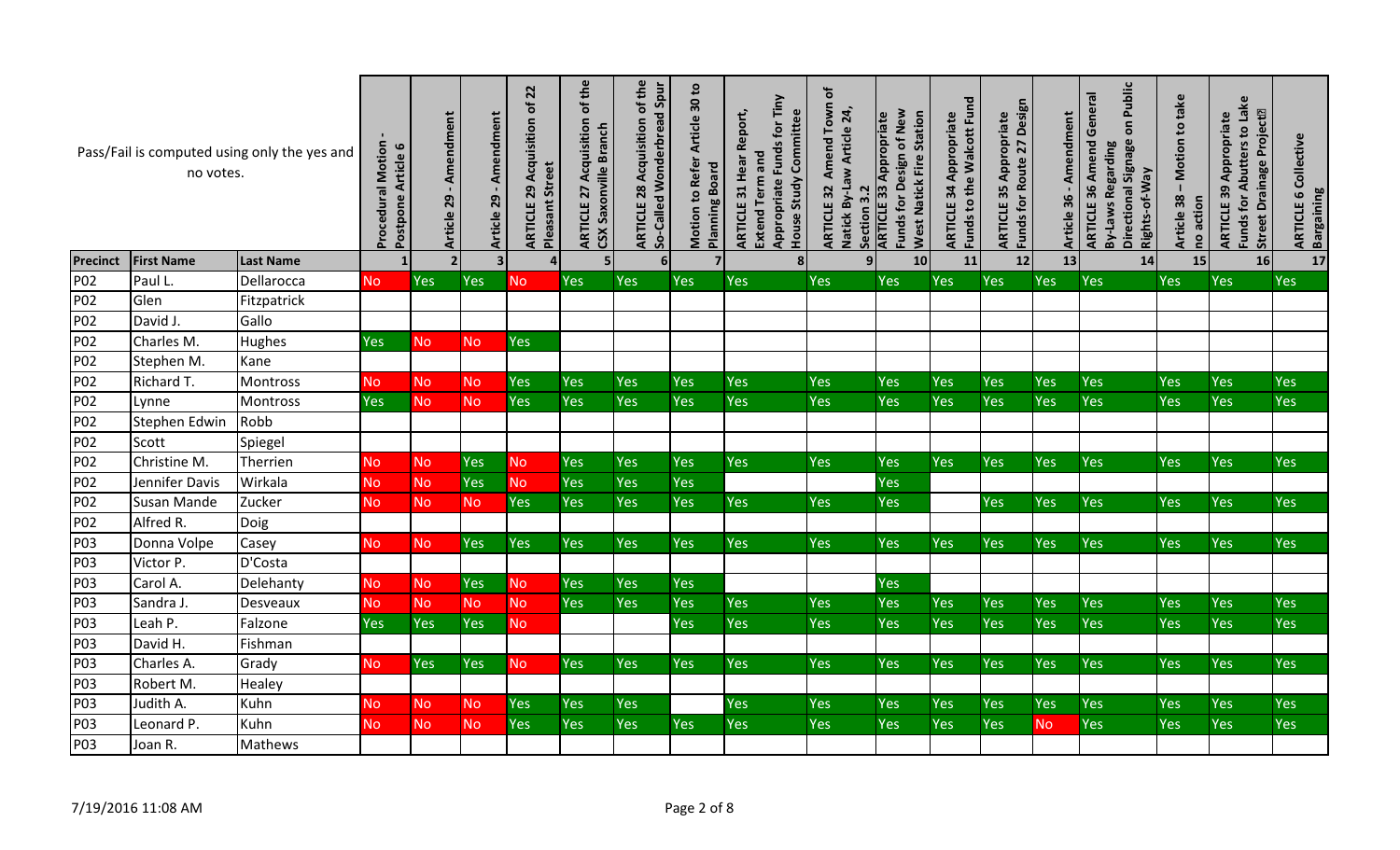|                 | no votes.          | Pass/Fail is computed using only the yes and | <b>Procedural Motion</b><br>Article 6<br>Postpone | - Amendment<br>Article 29 | - Amendment<br>Article 29 | $\overline{2}$<br>đ<br>Acquisition<br><b>Pleasant Street</b><br>29<br>ARTICLE | of the<br>Acquisition<br>CSX Saxonville Branch<br>27<br>ARTICLE | 28 Acquisition of the<br>So-Called Wonderbread Spur<br>ARTICLE | Article 30 to<br>Motion to Refer<br><b>Board</b><br>Planning | Appropriate Funds for Tiny<br>Report,<br>House Study Committee<br>Extend Term and<br>31 Hear<br><b>ARTICLE</b> | đ<br>Amend Town<br>Natick By-Law Article 24,<br>ARTICLE 32<br>$\overline{3}$<br>Section | Funds for Design of New<br><b>West Natick Fire Station</b><br>Appropriate<br>33<br><b>ARTICLE</b> | Funds to the Walcott Fund<br>34 Appropriate<br>ARTICLE | Funds for Route 27 Design<br>Appropriate<br>35<br>ARTICLE | Amendment<br>Article 36 | Public<br><b>ARTICLE 36 Amend General</b><br>$\overline{\mathsf{o}}$<br>Directional Signage<br>By-Laws Regarding<br>Rights-of-Way | Motion to take<br>Article 38<br>no action | Funds for Abutters to Lake<br>Street Drainage Project <sup>[2]</sup><br>Appropriate<br>ARTICLE 39 | 6 Collective<br><b>Bargaining</b><br><b>ARTICLE</b> |
|-----------------|--------------------|----------------------------------------------|---------------------------------------------------|---------------------------|---------------------------|-------------------------------------------------------------------------------|-----------------------------------------------------------------|----------------------------------------------------------------|--------------------------------------------------------------|----------------------------------------------------------------------------------------------------------------|-----------------------------------------------------------------------------------------|---------------------------------------------------------------------------------------------------|--------------------------------------------------------|-----------------------------------------------------------|-------------------------|-----------------------------------------------------------------------------------------------------------------------------------|-------------------------------------------|---------------------------------------------------------------------------------------------------|-----------------------------------------------------|
| <b>Precinct</b> | <b>First Name</b>  | <b>Last Name</b>                             |                                                   | 2 <sup>1</sup>            | $\overline{\mathbf{3}}$   | 4                                                                             | 5 <sub>1</sub>                                                  | 6 <sup>1</sup>                                                 | $\overline{7}$                                               | 8 <sup>1</sup>                                                                                                 | 9 <sub>1</sub>                                                                          | 10                                                                                                | 11                                                     | 12                                                        | 13                      | 14                                                                                                                                | 15                                        | 16                                                                                                | 17                                                  |
| P02             | Paul L             | Dellarocca                                   | <b>No</b>                                         | <b>Yes</b>                | Yes                       | No.                                                                           | Yes                                                             | Yes                                                            | Yes                                                          | Yes                                                                                                            | Yes                                                                                     | <b>Yes</b>                                                                                        | Yes                                                    | Yes                                                       | Yes                     | <b>Yes</b>                                                                                                                        | Yes                                       | <b>Yes</b>                                                                                        | <b>Yes</b>                                          |
| P02             | Glen               | Fitzpatrick                                  |                                                   |                           |                           |                                                                               |                                                                 |                                                                |                                                              |                                                                                                                |                                                                                         |                                                                                                   |                                                        |                                                           |                         |                                                                                                                                   |                                           |                                                                                                   |                                                     |
| P02             | David J.           | Gallo                                        |                                                   |                           |                           |                                                                               |                                                                 |                                                                |                                                              |                                                                                                                |                                                                                         |                                                                                                   |                                                        |                                                           |                         |                                                                                                                                   |                                           |                                                                                                   |                                                     |
| P02             | Charles M.         | Hughes                                       | <b>Yes</b>                                        | No.                       | <b>No</b>                 | Yes                                                                           |                                                                 |                                                                |                                                              |                                                                                                                |                                                                                         |                                                                                                   |                                                        |                                                           |                         |                                                                                                                                   |                                           |                                                                                                   |                                                     |
| P02             | Stephen M.         | Kane                                         |                                                   |                           |                           |                                                                               |                                                                 |                                                                |                                                              |                                                                                                                |                                                                                         |                                                                                                   |                                                        |                                                           |                         |                                                                                                                                   |                                           |                                                                                                   |                                                     |
| P02             | Richard T.         | Montross                                     | <b>No</b>                                         | <b>No</b>                 | <b>No</b>                 | Yes                                                                           | Yes                                                             | Yes                                                            | Yes                                                          | Yes                                                                                                            | Yes                                                                                     | <b>Yes</b>                                                                                        | Yes                                                    | Yes                                                       | Yes                     | Yes                                                                                                                               | Yes                                       | <b>Yes</b>                                                                                        | <b>Yes</b>                                          |
| P02             | Lynne              | Montross                                     | Yes                                               | N <sub>o</sub>            | <b>No</b>                 | Yes                                                                           | Yes                                                             | <b>Yes</b>                                                     | Yes                                                          | Yes                                                                                                            | Yes                                                                                     | <b>Yes</b>                                                                                        | Yes                                                    | Yes                                                       | <b>Yes</b>              | <b>Yes</b>                                                                                                                        | Yes                                       | <b>Yes</b>                                                                                        | <b>Yes</b>                                          |
| P02             | Stephen Edwin      | Robb                                         |                                                   |                           |                           |                                                                               |                                                                 |                                                                |                                                              |                                                                                                                |                                                                                         |                                                                                                   |                                                        |                                                           |                         |                                                                                                                                   |                                           |                                                                                                   |                                                     |
| P02             | Scott              | Spiegel                                      |                                                   |                           |                           |                                                                               |                                                                 |                                                                |                                                              |                                                                                                                |                                                                                         |                                                                                                   |                                                        |                                                           |                         |                                                                                                                                   |                                           |                                                                                                   |                                                     |
| P02             | Christine M.       | Therrien                                     | <b>No</b>                                         | <b>No</b>                 | <b>Yes</b>                | N <sub>o</sub>                                                                | Yes                                                             | <b>Yes</b>                                                     | Yes                                                          | <b>Yes</b>                                                                                                     | Yes                                                                                     | <b>Yes</b>                                                                                        | <b>Yes</b>                                             | Yes                                                       | Yes                     | <b>Yes</b>                                                                                                                        | Yes                                       | <b>Yes</b>                                                                                        | Yes                                                 |
| P02             | Jennifer Davis     | Wirkala                                      | <b>No</b>                                         | <b>No</b>                 | <b>Yes</b>                | <b>No</b>                                                                     | Yes                                                             | <b>Yes</b>                                                     | Yes                                                          |                                                                                                                |                                                                                         | <b>Yes</b>                                                                                        |                                                        |                                                           |                         |                                                                                                                                   |                                           |                                                                                                   |                                                     |
| P02             | <b>Susan Mande</b> | Zucker                                       | N <sub>o</sub>                                    | <b>No</b>                 | No.                       | Yes                                                                           | Yes                                                             | <b>Yes</b>                                                     | Yes                                                          | <b>Yes</b>                                                                                                     | <b>Yes</b>                                                                              | <b>Yes</b>                                                                                        |                                                        | <b>Yes</b>                                                | Yes                     | Yes                                                                                                                               | Yes                                       | <b>Yes</b>                                                                                        | Yes                                                 |
| P02             | Alfred R.          | Doig                                         |                                                   |                           |                           |                                                                               |                                                                 |                                                                |                                                              |                                                                                                                |                                                                                         |                                                                                                   |                                                        |                                                           |                         |                                                                                                                                   |                                           |                                                                                                   |                                                     |
| P03             | Donna Volpe        | Casey                                        | N <sub>o</sub>                                    | N <sub>o</sub>            | Yes                       | Yes                                                                           | Yes                                                             | <b>Yes</b>                                                     | Yes                                                          | <b>Yes</b>                                                                                                     | Yes                                                                                     | <b>Yes</b>                                                                                        | Yes                                                    | Yes                                                       | Yes                     | <b>Yes</b>                                                                                                                        | Yes                                       | <b>Yes</b>                                                                                        | Yes                                                 |
| P03             | Victor P.          | D'Costa                                      |                                                   |                           |                           |                                                                               |                                                                 |                                                                |                                                              |                                                                                                                |                                                                                         |                                                                                                   |                                                        |                                                           |                         |                                                                                                                                   |                                           |                                                                                                   |                                                     |
| P03             | Carol A.           | Delehanty                                    | <b>No</b>                                         | <b>No</b>                 | Yes                       | <b>No</b>                                                                     | Yes                                                             | <b>Yes</b>                                                     | Yes                                                          |                                                                                                                |                                                                                         | <b>Yes</b>                                                                                        |                                                        |                                                           |                         |                                                                                                                                   |                                           |                                                                                                   |                                                     |
| P03             | Sandra J           | Desveaux                                     | <b>No</b>                                         | <b>No</b>                 | No                        | <b>No</b>                                                                     | Yes                                                             | <b>Yes</b>                                                     | Yes                                                          | Yes                                                                                                            | Yes                                                                                     | <b>Yes</b>                                                                                        | <b>Yes</b>                                             | <b>Yes</b>                                                | <b>Yes</b>              | <b>Yes</b>                                                                                                                        | Yes                                       | Yes                                                                                               | Yes                                                 |
| P03             | Leah P.            | Falzone                                      | <b>Yes</b>                                        | Yes                       | <b>Yes</b>                | <b>No</b>                                                                     |                                                                 |                                                                | Yes                                                          | <b>Yes</b>                                                                                                     | Yes                                                                                     | <b>Yes</b>                                                                                        | Yes                                                    | Yes                                                       | Yes                     | Yes                                                                                                                               | Yes                                       | <b>Yes</b>                                                                                        | Yes                                                 |
| P03             | David H.           | Fishman                                      |                                                   |                           |                           |                                                                               |                                                                 |                                                                |                                                              |                                                                                                                |                                                                                         |                                                                                                   |                                                        |                                                           |                         |                                                                                                                                   |                                           |                                                                                                   |                                                     |
| P03             | Charles A.         | Grady                                        | <b>No</b>                                         | <b>Yes</b>                | Yes                       | No.                                                                           | <b>Yes</b>                                                      | Yes                                                            | Yes                                                          | <b>Yes</b>                                                                                                     | Yes                                                                                     | <b>Yes</b>                                                                                        | Yes                                                    | Yes                                                       | <b>Yes</b>              | <b>Yes</b>                                                                                                                        | Yes                                       | <b>Yes</b>                                                                                        | Yes                                                 |
| P03             | Robert M.          | Healey                                       |                                                   |                           |                           |                                                                               |                                                                 |                                                                |                                                              |                                                                                                                |                                                                                         |                                                                                                   |                                                        |                                                           |                         |                                                                                                                                   |                                           |                                                                                                   |                                                     |
| P03             | Judith A.          | Kuhn                                         | <b>No</b>                                         | N <sub>o</sub>            | <b>No</b>                 | Yes                                                                           | Yes                                                             | <b>Yes</b>                                                     |                                                              | Yes                                                                                                            | Yes                                                                                     | Yes                                                                                               | Yes                                                    | <b>Yes</b>                                                | Yes                     | Yes                                                                                                                               | Yes                                       | <b>Yes</b>                                                                                        | <b>Yes</b>                                          |
| P03             | Leonard P.         | Kuhn                                         | <b>No</b>                                         | <b>No</b>                 | <b>No</b>                 | Yes                                                                           | Yes                                                             | Yes                                                            | Yes                                                          | Yes                                                                                                            | Yes                                                                                     | Yes                                                                                               | Yes                                                    | Yes                                                       | No                      | Yes                                                                                                                               | Yes                                       | <b>Yes</b>                                                                                        | Yes                                                 |
| P03             | Joan R.            | Mathews                                      |                                                   |                           |                           |                                                                               |                                                                 |                                                                |                                                              |                                                                                                                |                                                                                         |                                                                                                   |                                                        |                                                           |                         |                                                                                                                                   |                                           |                                                                                                   |                                                     |
|                 | 7/19/2016 11:08 AM |                                              |                                                   |                           |                           |                                                                               |                                                                 |                                                                | Page 2 of 8                                                  |                                                                                                                |                                                                                         |                                                                                                   |                                                        |                                                           |                         |                                                                                                                                   |                                           |                                                                                                   |                                                     |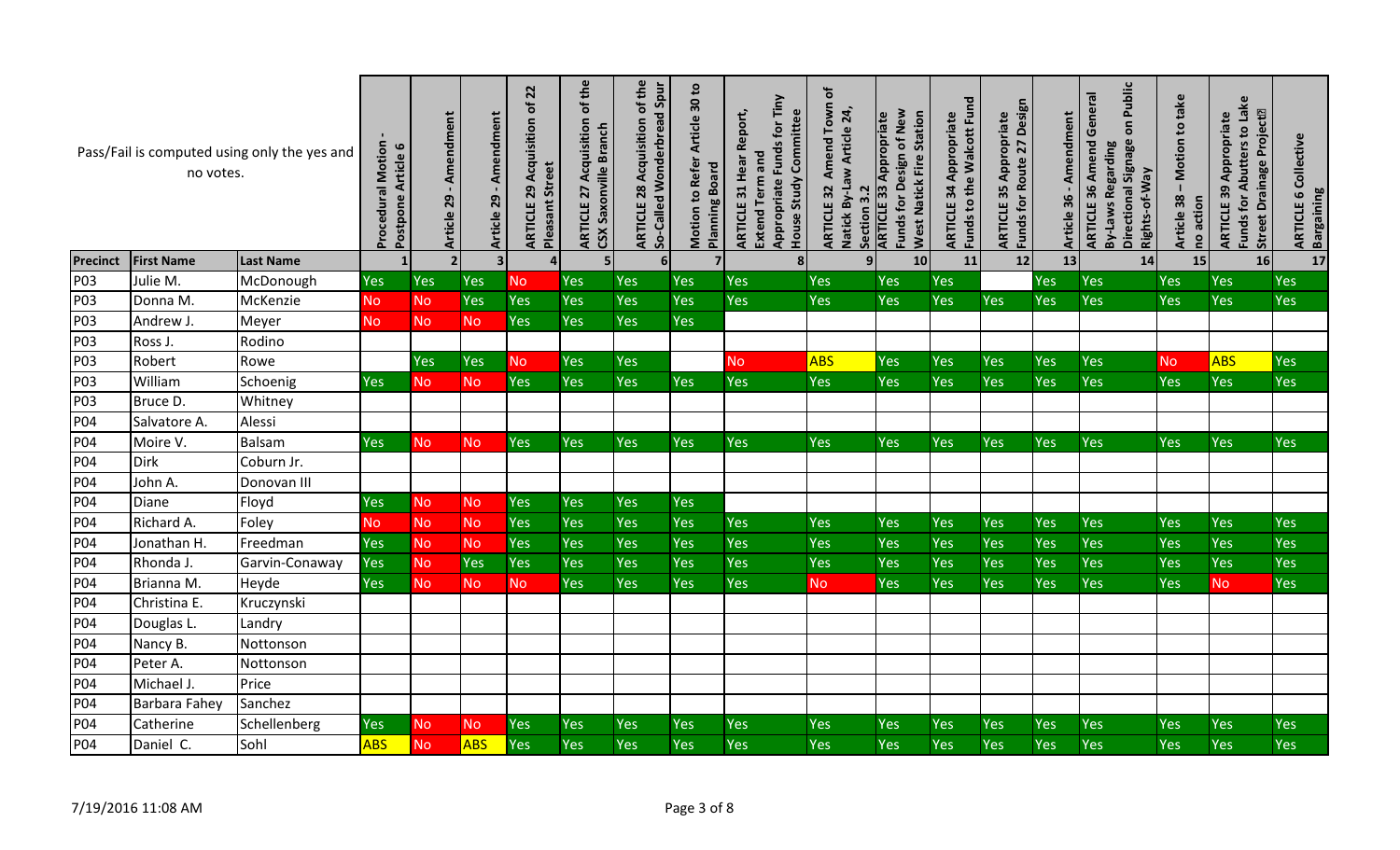|                 | no votes.          | Pass/Fail is computed using only the yes and | <b>Procedural Motion</b><br>Postpone Article 6 | - Amendment<br>Article 29 | Amendment<br>Article 29 | $\overline{2}$<br>đ<br>Acquisition<br><b>Pleasant Street</b><br>29<br>ARTICLE | of the<br>Acquisition<br>CSX Saxonville Branch<br><b>ARTICLE 27</b> | of the<br>So-Called Wonderbread Spur<br>Acquisition<br>28<br>ARTICLE | Motion to Refer Article 30 to<br><b>Planning Board</b> | Appropriate Funds for Tiny<br>Report,<br>House Study Committee<br>Extend Term and<br>31 Hear<br><b>ARTICLE</b> | $\mathbf{p}$<br>Amend Town<br>Natick By-Law Article 24,<br>ARTICLE 32<br>Section 3.2 | Funds for Design of New<br><b>West Natick Fire Station</b><br><b>ARTICLE 33 Appropriate</b> | Funds to the Walcott Fund<br>34 Appropriate<br>ARTICLE | Funds for Route 27 Design<br>Appropriate<br>ARTICLE 35 | Amendment<br>Article 36 - | Public<br><b>ARTICLE 36 Amend General</b><br>$\overline{5}$<br>Directional Signage<br>By-Laws Regarding<br>Rights-of-Way | take<br>Motion to<br>Article 38<br>no action | Funds for Abutters to Lake<br><b>Street Drainage Project<sup>®</sup></b><br>Appropriate<br>ARTICLE 39 | Collective<br><b>Bargaining</b><br>9<br><b>ARTICLE</b> |
|-----------------|--------------------|----------------------------------------------|------------------------------------------------|---------------------------|-------------------------|-------------------------------------------------------------------------------|---------------------------------------------------------------------|----------------------------------------------------------------------|--------------------------------------------------------|----------------------------------------------------------------------------------------------------------------|--------------------------------------------------------------------------------------|---------------------------------------------------------------------------------------------|--------------------------------------------------------|--------------------------------------------------------|---------------------------|--------------------------------------------------------------------------------------------------------------------------|----------------------------------------------|-------------------------------------------------------------------------------------------------------|--------------------------------------------------------|
| <b>Precinct</b> | <b>First Name</b>  | <b>Last Name</b>                             |                                                |                           | 3 <sup>1</sup>          | $\overline{a}$                                                                | 51                                                                  | 6 <sup>1</sup>                                                       | 7 <sup>1</sup>                                         | 8 <sup>1</sup>                                                                                                 | 91                                                                                   | 10                                                                                          | 11                                                     | 12                                                     | 13                        | 14                                                                                                                       | 15                                           | 16                                                                                                    | 17                                                     |
| P03             | Julie M.           | McDonough                                    | Yes                                            | Yes                       | Yes                     | <b>No</b>                                                                     | Yes                                                                 | <b>Yes</b>                                                           | Yes                                                    | <b>Yes</b>                                                                                                     | Yes                                                                                  | Yes                                                                                         | Yes                                                    |                                                        | Yes                       | <b>Yes</b>                                                                                                               | Yes                                          | Yes                                                                                                   | Yes                                                    |
| P03             | Donna M.           | McKenzie                                     | <b>No</b>                                      | <b>No</b>                 | <b>Yes</b>              | Yes                                                                           | Yes                                                                 | Yes                                                                  | Yes                                                    | Yes                                                                                                            | Yes                                                                                  | Yes                                                                                         | Yes                                                    | Yes                                                    | Yes                       | <b>Yes</b>                                                                                                               | Yes                                          | Yes                                                                                                   | Yes                                                    |
| P03             | Andrew J.          | Meyer                                        | <b>No</b>                                      | <b>No</b>                 | N <sub>o</sub>          | Yes                                                                           | Yes                                                                 | <b>Yes</b>                                                           | Yes                                                    |                                                                                                                |                                                                                      |                                                                                             |                                                        |                                                        |                           |                                                                                                                          |                                              |                                                                                                       |                                                        |
| P03             | Ross J             | Rodino                                       |                                                |                           |                         |                                                                               |                                                                     |                                                                      |                                                        |                                                                                                                |                                                                                      |                                                                                             |                                                        |                                                        |                           |                                                                                                                          |                                              |                                                                                                       |                                                        |
| P03             | Robert             | Rowe                                         |                                                | <b>Yes</b>                | <b>Yes</b>              | <b>No</b>                                                                     | Yes                                                                 | <b>Yes</b>                                                           |                                                        | <b>No</b>                                                                                                      | <b>ABS</b>                                                                           | <b>Yes</b>                                                                                  | Yes                                                    | Yes                                                    | Yes                       | Yes                                                                                                                      | <b>No</b>                                    | <b>ABS</b>                                                                                            | <b>Yes</b>                                             |
| P03             | William            | Schoenig                                     | Yes                                            | N <sub>o</sub>            | <b>No</b>               | Yes                                                                           | Yes                                                                 | Yes                                                                  | Yes                                                    | <b>Yes</b>                                                                                                     | Yes                                                                                  | Yes                                                                                         | Yes                                                    | Yes                                                    | Yes                       | Yes                                                                                                                      | Yes                                          | Yes                                                                                                   | Yes                                                    |
| P03             | Bruce D.           | Whitney                                      |                                                |                           |                         |                                                                               |                                                                     |                                                                      |                                                        |                                                                                                                |                                                                                      |                                                                                             |                                                        |                                                        |                           |                                                                                                                          |                                              |                                                                                                       |                                                        |
| P04             | Salvatore A.       | Alessi                                       |                                                |                           |                         |                                                                               |                                                                     |                                                                      |                                                        |                                                                                                                |                                                                                      |                                                                                             |                                                        |                                                        |                           |                                                                                                                          |                                              |                                                                                                       |                                                        |
| P04             | Moire V.           | <b>Balsam</b>                                | <b>Yes</b>                                     | No.                       | <b>No</b>               | <b>Yes</b>                                                                    | Yes                                                                 | <b>Yes</b>                                                           | Yes                                                    | <b>Yes</b>                                                                                                     | Yes                                                                                  | Yes                                                                                         | Yes                                                    | Yes                                                    | Yes                       | <b>Yes</b>                                                                                                               | Yes                                          | Yes                                                                                                   | Yes                                                    |
| P04             | <b>Dirk</b>        | Coburn Jr.                                   |                                                |                           |                         |                                                                               |                                                                     |                                                                      |                                                        |                                                                                                                |                                                                                      |                                                                                             |                                                        |                                                        |                           |                                                                                                                          |                                              |                                                                                                       |                                                        |
| P04             | John A.            | Donovan III                                  |                                                |                           |                         |                                                                               |                                                                     |                                                                      |                                                        |                                                                                                                |                                                                                      |                                                                                             |                                                        |                                                        |                           |                                                                                                                          |                                              |                                                                                                       |                                                        |
| <b>P04</b>      | Diane              | Floyd                                        | Yes                                            | <b>No</b>                 | <b>No</b>               | Yes                                                                           | Yes                                                                 | <b>Yes</b>                                                           | Yes                                                    |                                                                                                                |                                                                                      |                                                                                             |                                                        |                                                        |                           |                                                                                                                          |                                              |                                                                                                       |                                                        |
| P04             | Richard A.         | Foley                                        | <b>No</b>                                      | <b>No</b>                 | <b>No</b>               | Yes                                                                           | Yes                                                                 | <b>Yes</b>                                                           | Yes                                                    | <b>Yes</b>                                                                                                     | Yes                                                                                  | <b>Yes</b>                                                                                  | Yes                                                    | Yes                                                    | Yes                       | <b>Yes</b>                                                                                                               | Yes                                          | Yes                                                                                                   | Yes                                                    |
| P04             | Jonathan H.        | Freedman                                     | Yes                                            | <b>No</b>                 | <b>No</b>               | Yes                                                                           | Yes                                                                 | Yes                                                                  | Yes                                                    | Yes                                                                                                            | Yes                                                                                  | Yes                                                                                         | Yes                                                    | Yes                                                    | Yes                       | Yes                                                                                                                      | Yes                                          | Yes                                                                                                   | Yes                                                    |
| P04             | Rhonda J.          | Garvin-Conaway                               | Yes                                            | <b>No</b>                 | Yes                     | Yes                                                                           | Yes                                                                 | Yes                                                                  | Yes                                                    | <b>Yes</b>                                                                                                     | Yes                                                                                  | Yes                                                                                         | Yes                                                    | Yes                                                    | Yes                       | Yes                                                                                                                      | Yes                                          | Yes                                                                                                   | Yes                                                    |
| P04             | Brianna M.         | Heyde                                        | <b>Yes</b>                                     | <b>No</b>                 | <b>No</b>               | <b>No</b>                                                                     | Yes                                                                 | <b>Yes</b>                                                           | Yes                                                    | <b>Yes</b>                                                                                                     | <b>No</b>                                                                            | Yes                                                                                         | Yes                                                    | Yes                                                    | Yes                       | <b>Yes</b>                                                                                                               | Yes                                          | <b>No</b>                                                                                             | Yes                                                    |
| P04             | Christina E.       | Kruczynski                                   |                                                |                           |                         |                                                                               |                                                                     |                                                                      |                                                        |                                                                                                                |                                                                                      |                                                                                             |                                                        |                                                        |                           |                                                                                                                          |                                              |                                                                                                       |                                                        |
| P04             | Douglas L.         | Landry                                       |                                                |                           |                         |                                                                               |                                                                     |                                                                      |                                                        |                                                                                                                |                                                                                      |                                                                                             |                                                        |                                                        |                           |                                                                                                                          |                                              |                                                                                                       |                                                        |
| P04             | Nancy B.           | Nottonson                                    |                                                |                           |                         |                                                                               |                                                                     |                                                                      |                                                        |                                                                                                                |                                                                                      |                                                                                             |                                                        |                                                        |                           |                                                                                                                          |                                              |                                                                                                       |                                                        |
| P04             | Peter A.           | Nottonson                                    |                                                |                           |                         |                                                                               |                                                                     |                                                                      |                                                        |                                                                                                                |                                                                                      |                                                                                             |                                                        |                                                        |                           |                                                                                                                          |                                              |                                                                                                       |                                                        |
| P04             | Michael J.         | Price                                        |                                                |                           |                         |                                                                               |                                                                     |                                                                      |                                                        |                                                                                                                |                                                                                      |                                                                                             |                                                        |                                                        |                           |                                                                                                                          |                                              |                                                                                                       |                                                        |
| P04             | Barbara Fahey      | Sanchez                                      |                                                |                           |                         |                                                                               |                                                                     |                                                                      |                                                        |                                                                                                                |                                                                                      |                                                                                             |                                                        |                                                        |                           |                                                                                                                          |                                              |                                                                                                       |                                                        |
| P04             | Catherine          | Schellenberg                                 | Yes                                            | <b>No</b>                 | <b>No</b>               | Yes                                                                           | Yes                                                                 | Yes                                                                  | Yes                                                    | Yes                                                                                                            | Yes                                                                                  | Yes                                                                                         | Yes                                                    | Yes                                                    | <b>Yes</b>                | <b>Yes</b>                                                                                                               | Yes                                          | Yes                                                                                                   | Yes                                                    |
| P04             | Daniel C.          | Sohl                                         | <b>ABS</b>                                     | <b>No</b>                 | <b>ABS</b>              | Yes                                                                           | Yes                                                                 | Yes                                                                  | Yes                                                    | Yes                                                                                                            | Yes                                                                                  | Yes                                                                                         | Yes                                                    | Yes                                                    | Yes                       | Yes                                                                                                                      | Yes                                          | Yes                                                                                                   | Yes                                                    |
|                 | 7/19/2016 11:08 AM |                                              |                                                |                           |                         |                                                                               |                                                                     |                                                                      | Page 3 of 8                                            |                                                                                                                |                                                                                      |                                                                                             |                                                        |                                                        |                           |                                                                                                                          |                                              |                                                                                                       |                                                        |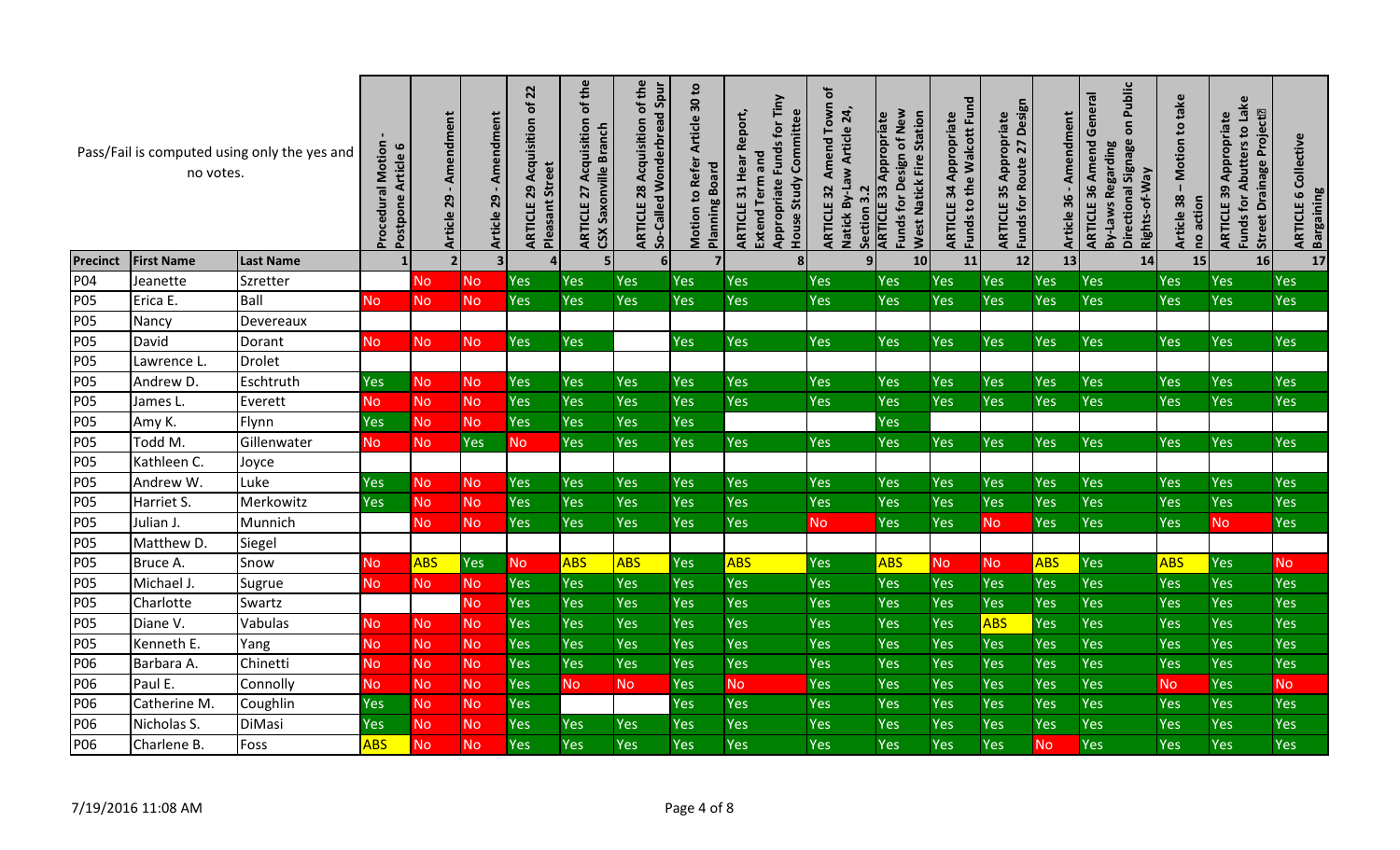|                 | no votes.          | Pass/Fail is computed using only the yes and | <b>Procedural Motion</b><br>Article 6<br>Postpone | Amendment<br>29<br>Article | Amendment<br>29<br><b>Article</b> | 22<br>đ<br>Acquisition<br><b>Pleasant Street</b><br>29<br>ARTICLE | of the<br>Acquisition<br><b>Branch</b><br>Saxonville<br>27<br>ARTICLE<br>CSX | of the<br>So-Called Wonderbread Spur<br>Acquisition<br>28<br><b>ARTICLE</b> | Article 30 to<br><b>Refer</b><br><b>Planning Board</b><br>Motion to | Appropriate Funds for Tiny<br>Report,<br>House Study Committee<br><b>Extend Term and</b><br>Hear<br>31<br>ARTICLE | đ<br>Town<br>Natick By-Law Article 24,<br>Amend<br><b>ARTICLE 32</b><br>$\overline{3}$<br>Section | Funds for Design of New<br><b>West Natick Fire Station</b><br>Appropriate<br><b>ARTICLE 33</b> | Funds to the Walcott Fund<br>Appropriate<br>34<br>ARTICLE | Funds for Route 27 Design<br>Appropriate<br>35<br>ARTICLE | ent<br>endme<br>Ř.<br>36<br><b>Article</b> | Public<br><b>ARTICLE 36 Amend General</b><br>$\overline{\mathbf{5}}$<br><b>Signage</b><br>By-Laws Regarding<br>Rights-of-Way<br>Directional | Motion to take<br>38<br>no action<br><b>Article</b> | Funds for Abutters to Lake<br>Project <sup>[2]</sup><br>Appropriate<br><b>Drainage</b><br>ARTICLE 39<br><b>Street</b> | Collective<br><b>Bargaining</b><br>9<br>ARTICLE |
|-----------------|--------------------|----------------------------------------------|---------------------------------------------------|----------------------------|-----------------------------------|-------------------------------------------------------------------|------------------------------------------------------------------------------|-----------------------------------------------------------------------------|---------------------------------------------------------------------|-------------------------------------------------------------------------------------------------------------------|---------------------------------------------------------------------------------------------------|------------------------------------------------------------------------------------------------|-----------------------------------------------------------|-----------------------------------------------------------|--------------------------------------------|---------------------------------------------------------------------------------------------------------------------------------------------|-----------------------------------------------------|-----------------------------------------------------------------------------------------------------------------------|-------------------------------------------------|
| <b>Precinct</b> | <b>First Name</b>  | <b>Last Name</b>                             |                                                   | 2 <sub>1</sub>             | $\overline{\mathbf{3}}$           | $\overline{a}$                                                    | 5 <sub>1</sub>                                                               | 61                                                                          | $\overline{7}$                                                      | 8 <sup>1</sup>                                                                                                    | 9 <sub>l</sub>                                                                                    | 10                                                                                             | 11                                                        | 12                                                        | 13                                         | 14                                                                                                                                          | 15                                                  | 16                                                                                                                    | 17                                              |
| P04             | Jeanette           | Szretter                                     |                                                   | No.                        | No                                | Yes                                                               | Yes                                                                          | <b>Yes</b>                                                                  | Yes                                                                 | Yes                                                                                                               | Yes                                                                                               | <b>Yes</b>                                                                                     | Yes                                                       | Yes                                                       | Yes                                        | <b>Yes</b>                                                                                                                                  | Yes                                                 | <b>Yes</b>                                                                                                            | <b>Yes</b>                                      |
| <b>P05</b>      | Erica E.           | Ball                                         | N <sub>o</sub>                                    | <b>No</b>                  | <b>No</b>                         | Yes                                                               | Yes                                                                          | <b>Yes</b>                                                                  | Yes                                                                 | Yes                                                                                                               | Yes                                                                                               | Yes                                                                                            | Yes                                                       | Yes                                                       | Yes                                        | Yes                                                                                                                                         | Yes                                                 | <b>Yes</b>                                                                                                            | Yes                                             |
| <b>P05</b>      | Nancy              | Devereaux                                    |                                                   |                            |                                   |                                                                   |                                                                              |                                                                             |                                                                     |                                                                                                                   |                                                                                                   |                                                                                                |                                                           |                                                           |                                            |                                                                                                                                             |                                                     |                                                                                                                       |                                                 |
| P05             | David              | Dorant                                       | No                                                | <b>No</b>                  | <b>No</b>                         | Yes                                                               | Yes                                                                          |                                                                             | Yes                                                                 | <b>Yes</b>                                                                                                        | Yes                                                                                               | <b>Yes</b>                                                                                     | <b>Yes</b>                                                | <b>Yes</b>                                                | Yes                                        | <b>Yes</b>                                                                                                                                  | Yes                                                 | <b>Yes</b>                                                                                                            | <b>Yes</b>                                      |
| P05             | Lawrence L.        | <b>Drolet</b>                                |                                                   |                            |                                   |                                                                   |                                                                              |                                                                             |                                                                     |                                                                                                                   |                                                                                                   |                                                                                                |                                                           |                                                           |                                            |                                                                                                                                             |                                                     |                                                                                                                       |                                                 |
| P05             | Andrew D.          | Eschtruth                                    | Yes                                               | N <sub>o</sub>             | N <sub>o</sub>                    | Yes                                                               | Yes                                                                          | <b>Yes</b>                                                                  | <b>Yes</b>                                                          | Yes                                                                                                               | Yes                                                                                               | <b>Yes</b>                                                                                     | <b>Yes</b>                                                | Yes                                                       | Yes                                        | <b>Yes</b>                                                                                                                                  | Yes                                                 | <b>Yes</b>                                                                                                            | Yes                                             |
| P05             | James L            | Everett                                      | N <sub>o</sub>                                    | <b>No</b>                  | <b>No</b>                         | Yes                                                               | Yes                                                                          | <b>Yes</b>                                                                  | Yes                                                                 | <b>Yes</b>                                                                                                        | Yes                                                                                               | <b>Yes</b>                                                                                     | <b>Yes</b>                                                | <b>Yes</b>                                                | Yes                                        | <b>Yes</b>                                                                                                                                  | Yes                                                 | <b>Yes</b>                                                                                                            | <b>Yes</b>                                      |
| <b>P05</b>      | Amy K.             | Flynn                                        | <b>Yes</b>                                        | <b>No</b>                  | <b>No</b>                         | Yes                                                               | Yes                                                                          | <b>Yes</b>                                                                  | Yes                                                                 |                                                                                                                   |                                                                                                   | Yes                                                                                            |                                                           |                                                           |                                            |                                                                                                                                             |                                                     |                                                                                                                       |                                                 |
| P05             | Todd M.            | Gillenwater                                  | No.                                               | <b>No</b>                  | <b>Yes</b>                        | N <sub>o</sub>                                                    | Yes                                                                          | <b>Yes</b>                                                                  | Yes                                                                 | <b>Yes</b>                                                                                                        | Yes                                                                                               | <b>Yes</b>                                                                                     | Yes                                                       | Yes                                                       | Yes                                        | <b>Yes</b>                                                                                                                                  | Yes                                                 | <b>Yes</b>                                                                                                            | Yes                                             |
| <b>P05</b>      | Kathleen C.        | Joyce                                        |                                                   |                            |                                   |                                                                   |                                                                              |                                                                             |                                                                     |                                                                                                                   |                                                                                                   |                                                                                                |                                                           |                                                           |                                            |                                                                                                                                             |                                                     |                                                                                                                       |                                                 |
| P05             | Andrew W.          | Luke                                         | <b>Yes</b>                                        | <b>No</b>                  | <b>No</b>                         | Yes                                                               | Yes                                                                          | <b>Yes</b>                                                                  | <b>Yes</b>                                                          | <b>Yes</b>                                                                                                        | Yes                                                                                               | <b>Yes</b>                                                                                     | <b>Yes</b>                                                | Yes                                                       | Yes                                        | <b>Yes</b>                                                                                                                                  | Yes                                                 | <b>Yes</b>                                                                                                            | Yes                                             |
| <b>P05</b>      | Harriet S.         | Merkowitz                                    | Yes                                               | <b>No</b>                  | No                                | Yes                                                               | Yes                                                                          | <b>Yes</b>                                                                  | Yes                                                                 | Yes                                                                                                               | Yes                                                                                               | <b>Yes</b>                                                                                     | <b>Yes</b>                                                | Yes                                                       | Yes                                        | Yes                                                                                                                                         | Yes                                                 | <b>Yes</b>                                                                                                            | <b>Yes</b>                                      |
| P05             | Julian J.          | Munnich                                      |                                                   | <b>No</b>                  | <b>No</b>                         | Yes                                                               | Yes                                                                          | <b>Yes</b>                                                                  | Yes                                                                 | Yes                                                                                                               | <b>No</b>                                                                                         | <b>Yes</b>                                                                                     | <b>Yes</b>                                                | N <sub>o</sub>                                            | <b>Yes</b>                                 | <b>Yes</b>                                                                                                                                  | Yes                                                 | <b>No</b>                                                                                                             | Yes                                             |
| P05             | Matthew D.         | Siegel                                       |                                                   |                            |                                   |                                                                   |                                                                              |                                                                             |                                                                     |                                                                                                                   |                                                                                                   |                                                                                                |                                                           |                                                           |                                            |                                                                                                                                             |                                                     |                                                                                                                       |                                                 |
| <b>P05</b>      | Bruce A.           | Snow                                         | <b>No</b>                                         | <b>ABS</b>                 | <b>Yes</b>                        | N <sub>o</sub>                                                    | <b>ABS</b>                                                                   | <b>ABS</b>                                                                  | Yes                                                                 | <b>ABS</b>                                                                                                        | Yes                                                                                               | <b>ABS</b>                                                                                     | <b>No</b>                                                 | <b>No</b>                                                 | <b>ABS</b>                                 | <b>Yes</b>                                                                                                                                  | <b>ABS</b>                                          | <b>Yes</b>                                                                                                            | No                                              |
| P05             | Michael J.         | Sugrue                                       | No.                                               | <b>No</b>                  | N <sub>o</sub>                    | Yes                                                               | Yes                                                                          | <b>Yes</b>                                                                  | <b>Yes</b>                                                          | Yes                                                                                                               | Yes                                                                                               | <b>Yes</b>                                                                                     | <b>Yes</b>                                                | Yes                                                       | Yes                                        | <b>Yes</b>                                                                                                                                  | Yes                                                 | <b>Yes</b>                                                                                                            | <b>Yes</b>                                      |
| <b>P05</b>      | Charlotte          | Swartz                                       |                                                   |                            | <b>No</b>                         | Yes                                                               | Yes                                                                          | <b>Yes</b>                                                                  | Yes                                                                 | Yes                                                                                                               | Yes                                                                                               | <b>Yes</b>                                                                                     | <b>Yes</b>                                                | Yes                                                       | Yes                                        | Yes                                                                                                                                         | Yes                                                 | <b>Yes</b>                                                                                                            | Yes                                             |
| P05             | Diane V.           | Vabulas                                      | <b>No</b>                                         | <b>No</b>                  | <b>No</b>                         | Yes                                                               | Yes                                                                          | <b>Yes</b>                                                                  | Yes                                                                 | <b>Yes</b>                                                                                                        | Yes                                                                                               | <b>Yes</b>                                                                                     | <b>Yes</b>                                                | <b>ABS</b>                                                | Yes                                        | Yes                                                                                                                                         | Yes                                                 | <b>Yes</b>                                                                                                            | <b>Yes</b>                                      |
| <b>P05</b>      | Kenneth E.         | Yang                                         | No                                                | No.                        | N <sub>o</sub>                    | Yes                                                               | Yes                                                                          | <b>Yes</b>                                                                  | Yes                                                                 | Yes                                                                                                               | Yes                                                                                               | <b>Yes</b>                                                                                     | Yes                                                       | Yes                                                       | Yes                                        | Yes                                                                                                                                         | Yes                                                 | <b>Yes</b>                                                                                                            | <b>Yes</b>                                      |
| P06             | Barbara A.         | Chinetti                                     | <b>No</b>                                         | <b>No</b>                  | <b>No</b>                         | Yes                                                               | Yes                                                                          | <b>Yes</b>                                                                  | Yes                                                                 | Yes                                                                                                               | Yes                                                                                               | <b>Yes</b>                                                                                     | Yes                                                       | Yes                                                       | Yes                                        | Yes                                                                                                                                         | Yes                                                 | Yes                                                                                                                   | Yes                                             |
| P06             | Paul E.            | Connolly                                     | No.                                               | <b>No</b>                  | <b>No</b>                         | Yes                                                               | No                                                                           | <b>No</b>                                                                   | Yes                                                                 | <b>No</b>                                                                                                         | Yes                                                                                               | <b>Yes</b>                                                                                     | Yes                                                       | Yes                                                       | Yes                                        | Yes                                                                                                                                         | No.                                                 | <b>Yes</b>                                                                                                            | <b>No</b>                                       |
| P06             | Catherine M.       | Coughlin                                     | Yes                                               | <b>No</b>                  | <b>No</b>                         | Yes                                                               |                                                                              |                                                                             | Yes                                                                 | <b>Yes</b>                                                                                                        | Yes                                                                                               | <b>Yes</b>                                                                                     | Yes                                                       | Yes                                                       | <b>Yes</b>                                 | Yes                                                                                                                                         | Yes                                                 | <b>Yes</b>                                                                                                            | <b>Yes</b>                                      |
| P06             | Nicholas S.        | DiMasi                                       | Yes                                               | <b>No</b>                  | <b>No</b>                         | Yes                                                               | Yes                                                                          | <b>Yes</b>                                                                  | Yes                                                                 | Yes                                                                                                               | Yes                                                                                               | Yes                                                                                            | Yes                                                       | Yes                                                       | Yes                                        | Yes                                                                                                                                         | Yes                                                 | <b>Yes</b>                                                                                                            | Yes                                             |
| P06             | Charlene B.        | Foss                                         | <b>ABS</b>                                        | <b>No</b>                  | <b>No</b>                         | Yes                                                               | Yes                                                                          | Yes                                                                         | Yes                                                                 | Yes                                                                                                               | Yes                                                                                               | Yes                                                                                            | Yes                                                       | Yes                                                       | No                                         | Yes                                                                                                                                         | Yes                                                 | Yes                                                                                                                   | Yes                                             |
|                 | 7/19/2016 11:08 AM |                                              |                                                   |                            |                                   |                                                                   |                                                                              |                                                                             | Page 4 of 8                                                         |                                                                                                                   |                                                                                                   |                                                                                                |                                                           |                                                           |                                            |                                                                                                                                             |                                                     |                                                                                                                       |                                                 |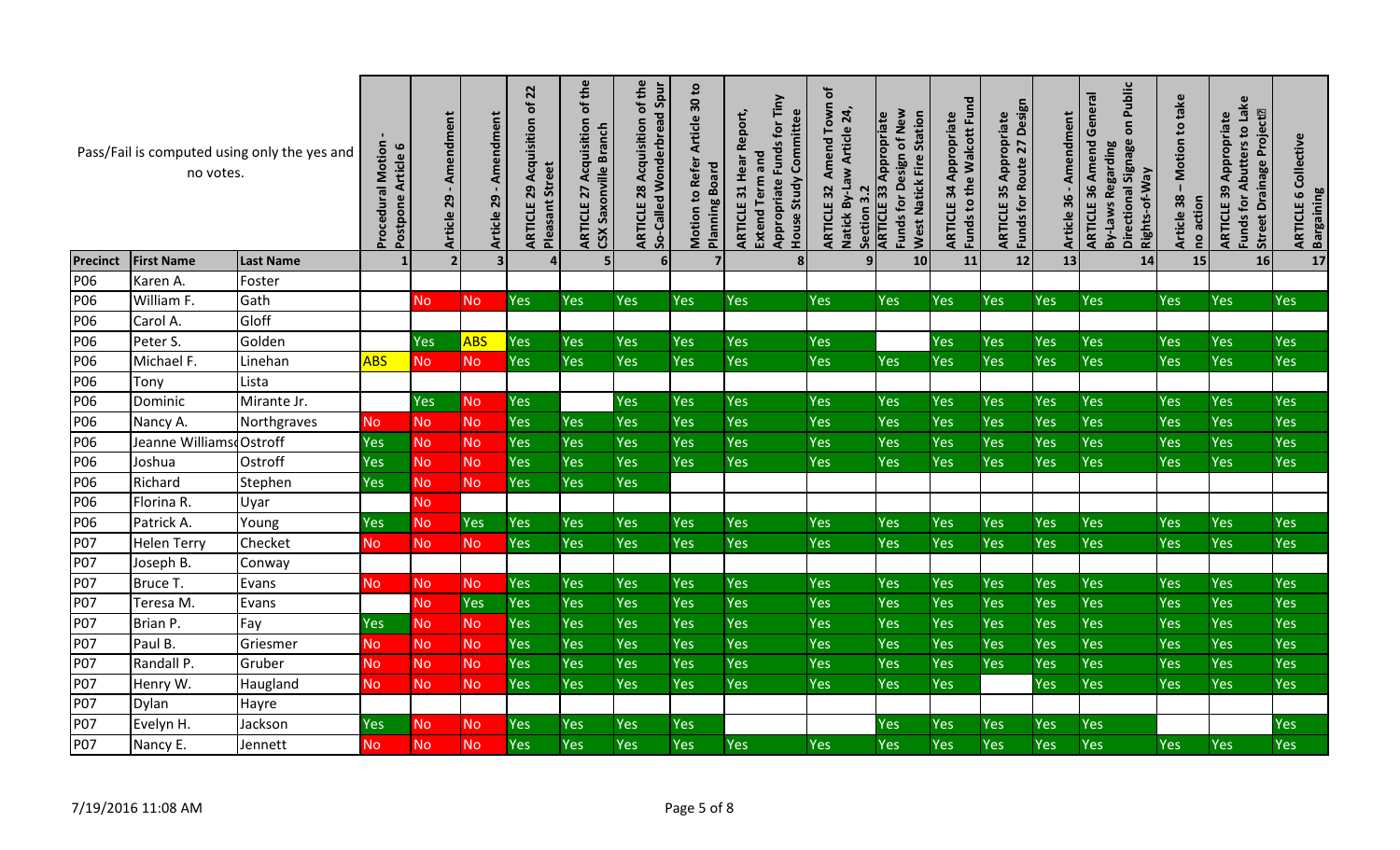|                 | no votes.               | Pass/Fail is computed using only the yes and | <b>Procedural Motion</b><br>Article 6<br>Postpone | Amendment<br>Article 29 | Amendment<br>29<br>Article 2 | 22<br>ð<br>29 Acquisition<br><b>Pleasant Street</b><br>ARTICLE | of the<br>Acquisition<br><b>Branch</b><br>Saxonville<br><b>ARTICLE 27</b><br>css | of the<br>So-Called Wonderbread Spur<br>Acquisition<br>28<br><b>ARTICLE</b> | Article 30 to<br>Refer<br><b>Planning Board</b><br>Motion to | Appropriate Funds for Tiny<br>Report,<br>House Study Committee<br>Extend Term and<br>Hear<br>31<br>ARTICLE | đ<br>Amend Town<br>Natick By-Law Article 24,<br><b>ARTICLE 32</b><br>$\overline{3}$<br>Section | Funds for Design of New<br>West Natick Fire Station<br>Appropriate<br><b>ARTICLE 33</b> | Funds to the Walcott Fund<br>Appropriate<br>34<br><b>ARTICLE</b> | Funds for Route 27 Design<br>Appropriate<br>35<br>ARTICLE | Amendment<br>36<br><b>Article</b> | Public<br>General<br>$\overline{\mathsf{o}}$<br><b>ARTICLE 36 Amend</b><br><b>Signage</b><br><b>By-Laws Regarding</b><br>Rights-of-Way<br>Directional | Motion to take<br>38<br>no action<br><b>Article</b> | Funds for Abutters to Lake<br>Drainage Project <sup>[2]</sup><br>Appropriate<br>ARTICLE 39<br>Street | Collective<br><b>Bargaining</b><br>9<br>ARTICLE |
|-----------------|-------------------------|----------------------------------------------|---------------------------------------------------|-------------------------|------------------------------|----------------------------------------------------------------|----------------------------------------------------------------------------------|-----------------------------------------------------------------------------|--------------------------------------------------------------|------------------------------------------------------------------------------------------------------------|------------------------------------------------------------------------------------------------|-----------------------------------------------------------------------------------------|------------------------------------------------------------------|-----------------------------------------------------------|-----------------------------------|-------------------------------------------------------------------------------------------------------------------------------------------------------|-----------------------------------------------------|------------------------------------------------------------------------------------------------------|-------------------------------------------------|
| <b>Precinct</b> | <b>First Name</b>       | <b>Last Name</b>                             |                                                   |                         | $\overline{\mathbf{3}}$      | 4                                                              | 5                                                                                | 6 <sup>1</sup>                                                              | 7                                                            | 8 <sup>1</sup>                                                                                             | 9 <sub>l</sub>                                                                                 | 10                                                                                      | 11                                                               | 12                                                        | 13                                | 14                                                                                                                                                    | 15                                                  | 16                                                                                                   | 17                                              |
| P06             | Karen A.                | Foster                                       |                                                   |                         |                              |                                                                |                                                                                  |                                                                             |                                                              |                                                                                                            |                                                                                                |                                                                                         |                                                                  |                                                           |                                   |                                                                                                                                                       |                                                     |                                                                                                      |                                                 |
| P06             | William F.              | Gath                                         |                                                   | <b>No</b>               | <b>No</b>                    | Yes                                                            | <b>Yes</b>                                                                       | Yes                                                                         | <b>Yes</b>                                                   | Yes                                                                                                        | Yes                                                                                            | <b>Yes</b>                                                                              | Yes                                                              | Yes                                                       | Yes                               | Yes                                                                                                                                                   | Yes                                                 | <b>Yes</b>                                                                                           | Yes                                             |
| P06             | Carol A.                | Gloff                                        |                                                   |                         |                              |                                                                |                                                                                  |                                                                             |                                                              |                                                                                                            |                                                                                                |                                                                                         |                                                                  |                                                           |                                   |                                                                                                                                                       |                                                     |                                                                                                      |                                                 |
| P06             | Peter S.                | Golden                                       |                                                   | <b>Yes</b>              | <b>ABS</b>                   | Yes                                                            | Yes                                                                              | Yes                                                                         | <b>Yes</b>                                                   | Yes                                                                                                        | Yes                                                                                            |                                                                                         | <b>Yes</b>                                                       | Yes                                                       | Yes                               | <b>Yes</b>                                                                                                                                            | Yes                                                 | <b>Yes</b>                                                                                           | <b>Yes</b>                                      |
| P06             | Michael F.              | Linehan                                      | <b>ABS</b>                                        | <b>No</b>               | <b>No</b>                    | Yes                                                            | Yes                                                                              | Yes                                                                         | <b>Yes</b>                                                   | Yes                                                                                                        | <b>Yes</b>                                                                                     | Yes                                                                                     | Yes                                                              | Yes                                                       | Yes                               | Yes                                                                                                                                                   | Yes                                                 | <b>Yes</b>                                                                                           | <b>Yes</b>                                      |
| P06             | Tony                    | Lista                                        |                                                   |                         |                              |                                                                |                                                                                  |                                                                             |                                                              |                                                                                                            |                                                                                                |                                                                                         |                                                                  |                                                           |                                   |                                                                                                                                                       |                                                     |                                                                                                      |                                                 |
| P06             | Dominic                 | Mirante Jr.                                  |                                                   | <b>Yes</b>              | <b>No</b>                    | Yes                                                            |                                                                                  | <b>Yes</b>                                                                  | <b>Yes</b>                                                   | Yes                                                                                                        | Yes                                                                                            | <b>Yes</b>                                                                              | Yes                                                              | Yes                                                       | Yes                               | <b>Yes</b>                                                                                                                                            | Yes                                                 | <b>Yes</b>                                                                                           | <b>Yes</b>                                      |
| P06             | Nancy A.                | Northgraves                                  | <b>No</b>                                         | N <sub>o</sub>          | <b>No</b>                    | Yes                                                            | Yes                                                                              | <b>Yes</b>                                                                  | Yes                                                          | Yes                                                                                                        | Yes                                                                                            | <b>Yes</b>                                                                              | Yes                                                              | Yes                                                       | Yes                               | Yes                                                                                                                                                   | Yes                                                 | <b>Yes</b>                                                                                           | <b>Yes</b>                                      |
| P06             | Jeanne WilliamsdOstroff |                                              | <b>Yes</b>                                        | <b>No</b>               | <b>No</b>                    | Yes                                                            | Yes                                                                              | <b>Yes</b>                                                                  | <b>Yes</b>                                                   | Yes                                                                                                        | Yes                                                                                            | <b>Yes</b>                                                                              | <b>Yes</b>                                                       | Yes                                                       | Yes                               | Yes                                                                                                                                                   | Yes                                                 | <b>Yes</b>                                                                                           | Yes                                             |
| P06             | Joshua                  | Ostroff                                      | Yes                                               | <b>No</b>               | <b>No</b>                    | Yes                                                            | Yes                                                                              | <b>Yes</b>                                                                  | <b>Yes</b>                                                   | Yes                                                                                                        | <b>Yes</b>                                                                                     | <b>Yes</b>                                                                              | <b>Yes</b>                                                       | Yes                                                       | Yes                               | <b>Yes</b>                                                                                                                                            | Yes                                                 | <b>Yes</b>                                                                                           | <b>Yes</b>                                      |
| P06             | Richard                 | Stephen                                      | Yes                                               | <b>No</b>               | <b>No</b>                    | Yes                                                            | Yes                                                                              | Yes                                                                         |                                                              |                                                                                                            |                                                                                                |                                                                                         |                                                                  |                                                           |                                   |                                                                                                                                                       |                                                     |                                                                                                      |                                                 |
| P06             | Florina R.              | Uyar                                         |                                                   | <b>No</b>               |                              |                                                                |                                                                                  |                                                                             |                                                              |                                                                                                            |                                                                                                |                                                                                         |                                                                  |                                                           |                                   |                                                                                                                                                       |                                                     |                                                                                                      |                                                 |
| P06             | Patrick A.              | Young                                        | <b>Yes</b>                                        | <b>No</b>               | <b>Yes</b>                   | Yes                                                            | Yes                                                                              | <b>Yes</b>                                                                  | <b>Yes</b>                                                   | Yes                                                                                                        | Yes                                                                                            | <b>Yes</b>                                                                              | Yes                                                              | Yes                                                       | Yes                               | Yes                                                                                                                                                   | Yes                                                 | <b>Yes</b>                                                                                           | <b>Yes</b>                                      |
| P07             | <b>Helen Terry</b>      | Checket                                      | No                                                | <b>No</b>               | <b>No</b>                    | Yes                                                            | <b>Yes</b>                                                                       | <b>Yes</b>                                                                  | Yes                                                          | Yes                                                                                                        | Yes                                                                                            | <b>Yes</b>                                                                              | <b>Yes</b>                                                       | Yes                                                       | <b>Yes</b>                        | Yes                                                                                                                                                   | Yes                                                 | <b>Yes</b>                                                                                           | <b>Yes</b>                                      |
| P07             | Joseph B.               | Conway                                       |                                                   |                         |                              |                                                                |                                                                                  |                                                                             |                                                              |                                                                                                            |                                                                                                |                                                                                         |                                                                  |                                                           |                                   |                                                                                                                                                       |                                                     |                                                                                                      |                                                 |
| P07             | Bruce T.                | Evans                                        | N <sub>o</sub>                                    | N <sub>o</sub>          | <b>No</b>                    | Yes                                                            | Yes                                                                              | Yes                                                                         | <b>Yes</b>                                                   | Yes                                                                                                        | Yes                                                                                            | <b>Yes</b>                                                                              | <b>Yes</b>                                                       | Yes                                                       | Yes                               | <b>Yes</b>                                                                                                                                            | Yes                                                 | <b>Yes</b>                                                                                           | <b>Yes</b>                                      |
| <b>P07</b>      | Teresa M.               | Evans                                        |                                                   | <b>No</b>               | <b>Yes</b>                   | Yes                                                            | Yes                                                                              | Yes                                                                         | Yes                                                          | Yes                                                                                                        | <b>Yes</b>                                                                                     | <b>Yes</b>                                                                              | <b>Yes</b>                                                       | Yes                                                       | Yes                               | Yes                                                                                                                                                   | Yes                                                 | <b>Yes</b>                                                                                           | <b>Yes</b>                                      |
| P07             | Brian P.                | Fay                                          | Yes                                               | <b>No</b>               | <b>No</b>                    | Yes                                                            | Yes                                                                              | <b>Yes</b>                                                                  | <b>Yes</b>                                                   | Yes                                                                                                        | Yes                                                                                            | <b>Yes</b>                                                                              | <b>Yes</b>                                                       | Yes                                                       | Yes                               | Yes                                                                                                                                                   | Yes                                                 | <b>Yes</b>                                                                                           | <b>Yes</b>                                      |
| <b>P07</b>      | Paul B.                 | Griesmer                                     | No.                                               | <b>No</b>               | <b>No</b>                    | Yes                                                            | Yes                                                                              | Yes                                                                         | <b>Yes</b>                                                   | Yes                                                                                                        | Yes                                                                                            | <b>Yes</b>                                                                              | Yes                                                              | Yes                                                       | Yes                               | Yes                                                                                                                                                   | Yes                                                 | Yes                                                                                                  | Yes                                             |
| P07             | Randall P.              | Gruber                                       | <b>No</b>                                         | No                      | <b>No</b>                    | Yes                                                            | Yes                                                                              | Yes                                                                         | Yes                                                          | Yes                                                                                                        | Yes                                                                                            | <b>Yes</b>                                                                              | Yes                                                              | Yes                                                       | Yes                               | Yes                                                                                                                                                   | Yes                                                 | Yes                                                                                                  | Yes                                             |
| P07             | Henry W.                | Haugland                                     | No                                                | No.                     | <b>No</b>                    | Yes                                                            | Yes                                                                              | <b>Yes</b>                                                                  | Yes                                                          | Yes                                                                                                        | Yes                                                                                            | <b>Yes</b>                                                                              | Yes                                                              |                                                           | Yes                               | Yes                                                                                                                                                   | Yes                                                 | Yes                                                                                                  | Yes                                             |
| <b>P07</b>      | Dylan                   | Hayre                                        |                                                   |                         |                              |                                                                |                                                                                  |                                                                             |                                                              |                                                                                                            |                                                                                                |                                                                                         |                                                                  |                                                           |                                   |                                                                                                                                                       |                                                     |                                                                                                      |                                                 |
| P07             | Evelyn H.               | Jackson                                      | Yes                                               | <b>No</b>               | <b>No</b>                    | Yes                                                            | Yes                                                                              | Yes                                                                         | Yes                                                          |                                                                                                            |                                                                                                | Yes                                                                                     | Yes                                                              | Yes                                                       | Yes                               | Yes                                                                                                                                                   |                                                     |                                                                                                      | Yes                                             |
| P07             | Nancy E.                | Jennett                                      | No                                                | No                      | <b>No</b>                    | Yes                                                            | Yes                                                                              | Yes                                                                         | Yes                                                          | Yes                                                                                                        | Yes                                                                                            | Yes                                                                                     | Yes                                                              | Yes                                                       | Yes                               | Yes                                                                                                                                                   | Yes                                                 | Yes                                                                                                  | Yes                                             |
|                 | 7/19/2016 11:08 AM      |                                              |                                                   |                         |                              |                                                                |                                                                                  |                                                                             | Page 5 of 8                                                  |                                                                                                            |                                                                                                |                                                                                         |                                                                  |                                                           |                                   |                                                                                                                                                       |                                                     |                                                                                                      |                                                 |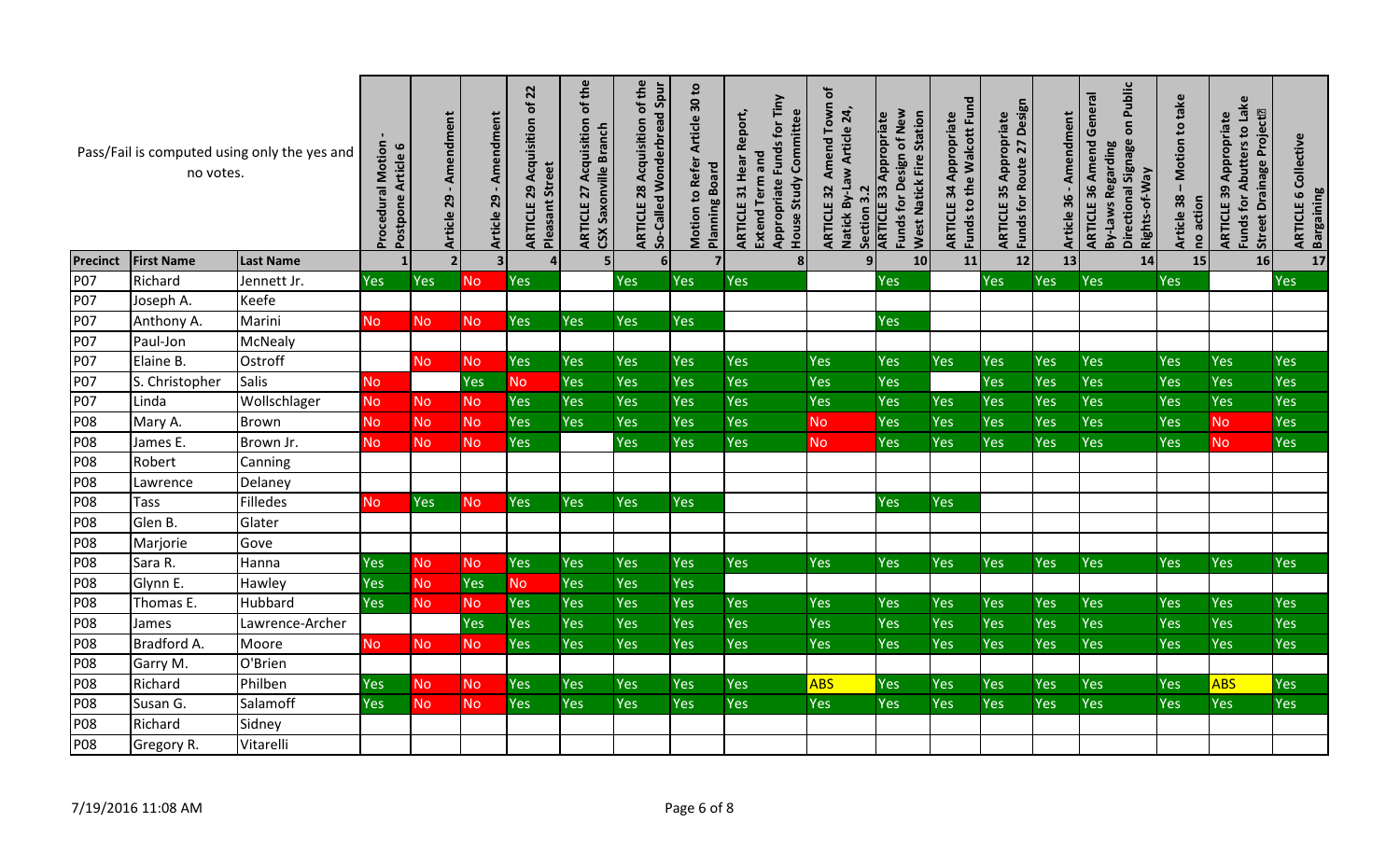|                 | no votes.          | Pass/Fail is computed using only the yes and | <b>Procedural Motion</b><br>Article 6<br>Postpone | - Amendment<br>Article 29 | - Amendment<br>Article 29 | $\overline{2}$<br>đ<br>Acquisition<br><b>Pleasant Street</b><br>29<br>ARTICLE | of the<br>Acquisition<br>CSX Saxonville Branch<br>27<br>ARTICLE | of the<br>So-Called Wonderbread Spur<br>Acquisition<br>ARTICLE 28 | Article 30 to<br>Motion to Refer<br><b>Planning Board</b> | Appropriate Funds for Tiny<br>Report,<br>House Study Committee<br>Extend Term and<br>Hear<br>31<br>ARTICLE | đ<br>Amend Town<br>Natick By-Law Article 24,<br><b>ARTICLE 32</b><br>$\overline{3}$<br>Section | Funds for Design of New<br><b>West Natick Fire Station</b><br>Appropriate<br><b>ARTICLE 33</b> | Funds to the Walcott Fund<br>Appropriate<br>34<br><b>ARTICLE</b> | Funds for Route 27 Design<br>Appropriate<br>35<br>ARTICLE | endment<br>Ř.<br>36<br><b>Article</b> | Public<br><b>ARTICLE 36 Amend General</b><br>$\overline{\mathsf{o}}$<br>Signage<br>By-Laws Regarding<br>Rights-of-Way<br>Directional | Motion to take<br>38<br>no action<br><b>Article</b> | Funds for Abutters to Lake<br><b>Street Drainage Project<sup>p</sup></b><br>Appropriate<br>ARTICLE 39 | <b>ARTICLE 6 Collective</b><br><b>Bargaining</b> |
|-----------------|--------------------|----------------------------------------------|---------------------------------------------------|---------------------------|---------------------------|-------------------------------------------------------------------------------|-----------------------------------------------------------------|-------------------------------------------------------------------|-----------------------------------------------------------|------------------------------------------------------------------------------------------------------------|------------------------------------------------------------------------------------------------|------------------------------------------------------------------------------------------------|------------------------------------------------------------------|-----------------------------------------------------------|---------------------------------------|--------------------------------------------------------------------------------------------------------------------------------------|-----------------------------------------------------|-------------------------------------------------------------------------------------------------------|--------------------------------------------------|
| <b>Precinct</b> | <b>First Name</b>  | <b>Last Name</b>                             |                                                   | 2 <sub>l</sub>            | $\overline{\mathbf{3}}$   |                                                                               | 5 <sub>1</sub>                                                  | 6 <sup>1</sup>                                                    | 7                                                         | 8 <sup>1</sup>                                                                                             | 9 <sub>l</sub>                                                                                 | 10                                                                                             | 11                                                               | 12                                                        | 13                                    | 14                                                                                                                                   | 15                                                  | 16                                                                                                    | 17                                               |
| P07             | Richard            | Jennett Jr.                                  | <b>Yes</b>                                        | <b>Yes</b>                | <b>No</b>                 | Yes                                                                           |                                                                 | <b>Yes</b>                                                        | Yes                                                       | <b>Yes</b>                                                                                                 |                                                                                                | <b>Yes</b>                                                                                     |                                                                  | Yes                                                       | Yes                                   | <b>Yes</b>                                                                                                                           | Yes                                                 |                                                                                                       | Yes                                              |
| P07             | Joseph A.          | Keefe                                        |                                                   |                           |                           |                                                                               |                                                                 |                                                                   |                                                           |                                                                                                            |                                                                                                |                                                                                                |                                                                  |                                                           |                                       |                                                                                                                                      |                                                     |                                                                                                       |                                                  |
| P07             | Anthony A.         | Marini                                       | <b>No</b>                                         | <b>No</b>                 | <b>No</b>                 | Yes                                                                           | Yes                                                             | <b>Yes</b>                                                        | Yes                                                       |                                                                                                            |                                                                                                | <b>Yes</b>                                                                                     |                                                                  |                                                           |                                       |                                                                                                                                      |                                                     |                                                                                                       |                                                  |
| P07             | Paul-Jon           | <b>McNealy</b>                               |                                                   |                           |                           |                                                                               |                                                                 |                                                                   |                                                           |                                                                                                            |                                                                                                |                                                                                                |                                                                  |                                                           |                                       |                                                                                                                                      |                                                     |                                                                                                       |                                                  |
| P07             | Elaine B.          | Ostroff                                      |                                                   | <b>No</b>                 | <b>No</b>                 | Yes                                                                           | <b>Yes</b>                                                      | <b>Yes</b>                                                        | <b>Yes</b>                                                | Yes                                                                                                        | <b>Yes</b>                                                                                     | <b>Yes</b>                                                                                     | <b>Yes</b>                                                       | Yes                                                       | <b>Yes</b>                            | <b>Yes</b>                                                                                                                           | Yes                                                 | <b>Yes</b>                                                                                            | Yes                                              |
| <b>P07</b>      | S. Christopher     | <b>Salis</b>                                 | <b>No</b>                                         |                           | Yes                       | <b>No</b>                                                                     | Yes                                                             | <b>Yes</b>                                                        | Yes                                                       | Yes                                                                                                        | Yes                                                                                            | <b>Yes</b>                                                                                     |                                                                  | <b>Yes</b>                                                | Yes                                   | Yes                                                                                                                                  | Yes                                                 | <b>Yes</b>                                                                                            | Yes                                              |
| <b>P07</b>      | Linda              | Wollschlager                                 | No.                                               | <b>No</b>                 | No.                       | Yes                                                                           | Yes                                                             | <b>Yes</b>                                                        | Yes                                                       | Yes                                                                                                        | Yes                                                                                            | <b>Yes</b>                                                                                     | Yes                                                              | Yes                                                       | Yes                                   | <b>Yes</b>                                                                                                                           | Yes                                                 | <b>Yes</b>                                                                                            | Yes                                              |
| <b>P08</b>      | Mary A.            | Brown                                        | <b>No</b>                                         | <b>No</b>                 | <b>No</b>                 | Yes                                                                           | Yes                                                             | <b>Yes</b>                                                        | Yes                                                       | Yes                                                                                                        | <b>No</b>                                                                                      | Yes                                                                                            | Yes                                                              | Yes                                                       | Yes                                   | Yes                                                                                                                                  | Yes                                                 | <b>No</b>                                                                                             | Yes                                              |
| <b>P08</b>      | James E.           | Brown Jr.                                    | No.                                               | <b>No</b>                 | <b>No</b>                 | Yes                                                                           |                                                                 | <b>Yes</b>                                                        | Yes                                                       | Yes                                                                                                        | <b>No</b>                                                                                      | <b>Yes</b>                                                                                     | Yes                                                              | Yes                                                       | Yes                                   | <b>Yes</b>                                                                                                                           | Yes                                                 | <b>No</b>                                                                                             | Yes                                              |
| <b>P08</b>      | Robert             | Canning                                      |                                                   |                           |                           |                                                                               |                                                                 |                                                                   |                                                           |                                                                                                            |                                                                                                |                                                                                                |                                                                  |                                                           |                                       |                                                                                                                                      |                                                     |                                                                                                       |                                                  |
| <b>P08</b>      | Lawrence           | Delaney                                      |                                                   |                           |                           |                                                                               |                                                                 |                                                                   |                                                           |                                                                                                            |                                                                                                |                                                                                                |                                                                  |                                                           |                                       |                                                                                                                                      |                                                     |                                                                                                       |                                                  |
| <b>P08</b>      | Tass               | Filledes                                     | <b>No</b>                                         | Yes                       | <b>No</b>                 | Yes                                                                           | Yes                                                             | Yes                                                               | Yes                                                       |                                                                                                            |                                                                                                | Yes                                                                                            | Yes                                                              |                                                           |                                       |                                                                                                                                      |                                                     |                                                                                                       |                                                  |
| <b>P08</b>      | Glen B.            | Glater                                       |                                                   |                           |                           |                                                                               |                                                                 |                                                                   |                                                           |                                                                                                            |                                                                                                |                                                                                                |                                                                  |                                                           |                                       |                                                                                                                                      |                                                     |                                                                                                       |                                                  |
| <b>P08</b>      | Marjorie           | Gove                                         |                                                   |                           |                           |                                                                               |                                                                 |                                                                   |                                                           |                                                                                                            |                                                                                                |                                                                                                |                                                                  |                                                           |                                       |                                                                                                                                      |                                                     |                                                                                                       |                                                  |
| <b>P08</b>      | Sara R.            | Hanna                                        | <b>Yes</b>                                        | N <sub>o</sub>            | <b>No</b>                 | Yes                                                                           | Yes                                                             | <b>Yes</b>                                                        | Yes                                                       | <b>Yes</b>                                                                                                 | <b>Yes</b>                                                                                     | <b>Yes</b>                                                                                     | Yes                                                              | Yes                                                       | Yes                                   | <b>Yes</b>                                                                                                                           | Yes                                                 | <b>Yes</b>                                                                                            | <b>Yes</b>                                       |
| <b>P08</b>      | Glynn E.           | Hawley                                       | Yes                                               | <b>No</b>                 | Yes                       | <b>No</b>                                                                     | Yes                                                             | <b>Yes</b>                                                        | Yes                                                       |                                                                                                            |                                                                                                |                                                                                                |                                                                  |                                                           |                                       |                                                                                                                                      |                                                     |                                                                                                       |                                                  |
| <b>P08</b>      | Thomas E.          | Hubbard                                      | Yes                                               | <b>No</b>                 | No                        | Yes                                                                           | Yes                                                             | <b>Yes</b>                                                        | Yes                                                       | Yes                                                                                                        | <b>Yes</b>                                                                                     | <b>Yes</b>                                                                                     | Yes                                                              | <b>Yes</b>                                                | Yes                                   | Yes                                                                                                                                  | Yes                                                 | Yes                                                                                                   | Yes                                              |
| P08             | James              | Lawrence-Archer                              |                                                   |                           | Yes                       | Yes                                                                           | Yes                                                             | <b>Yes</b>                                                        | Yes                                                       | Yes                                                                                                        | Yes                                                                                            | <b>Yes</b>                                                                                     | Yes                                                              | Yes                                                       | Yes                                   | Yes                                                                                                                                  | Yes                                                 | <b>Yes</b>                                                                                            | <b>Yes</b>                                       |
| <b>P08</b>      | Bradford A.        | Moore                                        | No.                                               | N <sub>o</sub>            | No.                       | Yes                                                                           | Yes                                                             | <b>Yes</b>                                                        | Yes                                                       | Yes                                                                                                        | Yes                                                                                            | <b>Yes</b>                                                                                     | Yes                                                              | Yes                                                       | Yes                                   | <b>Yes</b>                                                                                                                           | Yes                                                 | <b>Yes</b>                                                                                            | <b>Yes</b>                                       |
| <b>P08</b>      | Garry M.           | O'Brien                                      |                                                   |                           |                           |                                                                               |                                                                 |                                                                   |                                                           |                                                                                                            |                                                                                                |                                                                                                |                                                                  |                                                           |                                       |                                                                                                                                      |                                                     |                                                                                                       |                                                  |
| <b>P08</b>      | Richard            | Philben                                      | <b>Yes</b>                                        | N <sub>o</sub>            | <b>No</b>                 | Yes                                                                           | <b>Yes</b>                                                      | <b>Yes</b>                                                        | Yes                                                       | <b>Yes</b>                                                                                                 | <b>ABS</b>                                                                                     | <b>Yes</b>                                                                                     | Yes                                                              | Yes                                                       | Yes                                   | Yes                                                                                                                                  | Yes                                                 | <b>ABS</b>                                                                                            | <b>Yes</b>                                       |
| <b>P08</b>      | Susan G.           | Salamoff                                     | Yes                                               | <b>No</b>                 | N <sub>o</sub>            | Yes                                                                           | Yes                                                             | Yes                                                               | Yes                                                       | Yes                                                                                                        | Yes                                                                                            | <b>Yes</b>                                                                                     | Yes                                                              | Yes                                                       | Yes                                   | Yes                                                                                                                                  | Yes                                                 | <b>Yes</b>                                                                                            | <b>Yes</b>                                       |
| P08             | Richard            | Sidney                                       |                                                   |                           |                           |                                                                               |                                                                 |                                                                   |                                                           |                                                                                                            |                                                                                                |                                                                                                |                                                                  |                                                           |                                       |                                                                                                                                      |                                                     |                                                                                                       |                                                  |
| <b>P08</b>      | Gregory R.         | Vitarelli                                    |                                                   |                           |                           |                                                                               |                                                                 |                                                                   |                                                           |                                                                                                            |                                                                                                |                                                                                                |                                                                  |                                                           |                                       |                                                                                                                                      |                                                     |                                                                                                       |                                                  |
|                 | 7/19/2016 11:08 AM |                                              |                                                   |                           |                           |                                                                               |                                                                 |                                                                   | Page 6 of 8                                               |                                                                                                            |                                                                                                |                                                                                                |                                                                  |                                                           |                                       |                                                                                                                                      |                                                     |                                                                                                       |                                                  |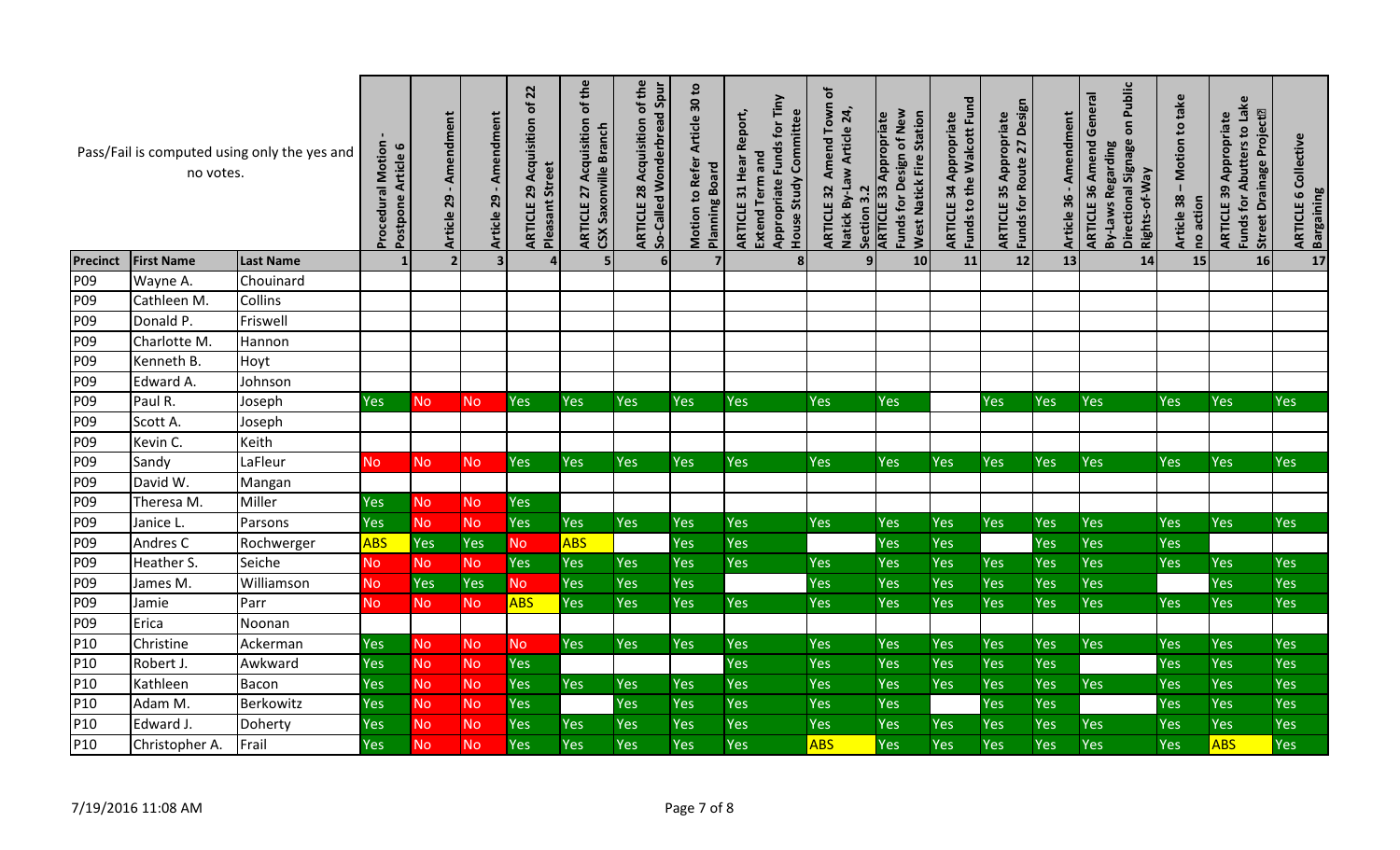|                 | no votes.          | Pass/Fail is computed using only the yes and | <b>Procedural Motion</b><br>Postpone Article 6 | - Amendment<br>Article 29 | Amendment<br>29<br><b>Article</b> | $\overline{2}$<br>৳<br>Acquisition<br><b>Pleasant Street</b><br>29<br>ARTICLE | of the<br>Acquisition<br>CSX Saxonville Branch<br>27<br>ARTICLE | of the<br>So-Called Wonderbread Spur<br>Acquisition<br>28<br>ARTICLE | <b>Motion to Refer Article 30 to</b><br><b>Planning Board</b> | Appropriate Funds for Tiny<br>Report,<br>Committee<br>Extend Term and<br>Hear<br>House Study<br>31<br>ARTICLE | ð<br>Town<br>Natick By-Law Article 24,<br>Amend<br>ARTICLE 32<br>Section 3.2 | Funds for Design of New<br><b>West Natick Fire Station</b><br><b>ARTICLE 33 Appropriate</b> | Funds to the Walcott Fund<br>Appropriate<br>34<br>ARTICLE | Funds for Route 27 Design<br>Appropriate<br>35<br>ARTICLE | Amendment<br>36<br><b>Article</b> | Public<br><b>ARTICLE 36 Amend General</b><br>$\overline{\mathsf{o}}$<br>Directional Signage<br>By-Laws Regarding<br>Rights-of-Way | Motion to take<br>38<br>no action<br><b>Article</b> | Funds for Abutters to Lake<br>Drainage Project <sup>[2]</sup><br>Appropriate<br>ARTICLE 39<br><b>Street</b> | Collective<br><b>Bargaining</b><br>$\mathbf  \omega$<br><b>ARTICLE</b> |
|-----------------|--------------------|----------------------------------------------|------------------------------------------------|---------------------------|-----------------------------------|-------------------------------------------------------------------------------|-----------------------------------------------------------------|----------------------------------------------------------------------|---------------------------------------------------------------|---------------------------------------------------------------------------------------------------------------|------------------------------------------------------------------------------|---------------------------------------------------------------------------------------------|-----------------------------------------------------------|-----------------------------------------------------------|-----------------------------------|-----------------------------------------------------------------------------------------------------------------------------------|-----------------------------------------------------|-------------------------------------------------------------------------------------------------------------|------------------------------------------------------------------------|
| <b>Precinct</b> | <b>First Name</b>  | <b>Last Name</b>                             |                                                |                           | $\overline{\mathbf{3}}$           | $\Delta$                                                                      | 5                                                               | 6 <sup>1</sup>                                                       | $\overline{7}$                                                | 8 <sup>1</sup>                                                                                                | 9                                                                            | 10                                                                                          | 11                                                        | 12                                                        | 13                                | 14                                                                                                                                | 15                                                  | 16                                                                                                          | 17                                                                     |
| P <sub>09</sub> | Wayne A.           | Chouinard                                    |                                                |                           |                                   |                                                                               |                                                                 |                                                                      |                                                               |                                                                                                               |                                                                              |                                                                                             |                                                           |                                                           |                                   |                                                                                                                                   |                                                     |                                                                                                             |                                                                        |
| P09             | Cathleen M.        | Collins                                      |                                                |                           |                                   |                                                                               |                                                                 |                                                                      |                                                               |                                                                                                               |                                                                              |                                                                                             |                                                           |                                                           |                                   |                                                                                                                                   |                                                     |                                                                                                             |                                                                        |
| P09             | Donald P.          | Friswell                                     |                                                |                           |                                   |                                                                               |                                                                 |                                                                      |                                                               |                                                                                                               |                                                                              |                                                                                             |                                                           |                                                           |                                   |                                                                                                                                   |                                                     |                                                                                                             |                                                                        |
| P <sub>09</sub> | Charlotte M.       | Hannon                                       |                                                |                           |                                   |                                                                               |                                                                 |                                                                      |                                                               |                                                                                                               |                                                                              |                                                                                             |                                                           |                                                           |                                   |                                                                                                                                   |                                                     |                                                                                                             |                                                                        |
| P <sub>09</sub> | Kenneth B.         | Hoyt                                         |                                                |                           |                                   |                                                                               |                                                                 |                                                                      |                                                               |                                                                                                               |                                                                              |                                                                                             |                                                           |                                                           |                                   |                                                                                                                                   |                                                     |                                                                                                             |                                                                        |
| P <sub>09</sub> | Edward A.          | Johnson                                      |                                                |                           |                                   |                                                                               |                                                                 |                                                                      |                                                               |                                                                                                               |                                                                              |                                                                                             |                                                           |                                                           |                                   |                                                                                                                                   |                                                     |                                                                                                             |                                                                        |
| P09             | Paul R.            | Joseph                                       | Yes                                            | N <sub>o</sub>            | <b>No</b>                         | Yes                                                                           | Yes                                                             | <b>Yes</b>                                                           | <b>Yes</b>                                                    | <b>Yes</b>                                                                                                    | Yes                                                                          | <b>Yes</b>                                                                                  |                                                           | Yes                                                       | Yes                               | <b>Yes</b>                                                                                                                        | Yes                                                 | Yes                                                                                                         | Yes                                                                    |
| P <sub>09</sub> | Scott A.           | Joseph                                       |                                                |                           |                                   |                                                                               |                                                                 |                                                                      |                                                               |                                                                                                               |                                                                              |                                                                                             |                                                           |                                                           |                                   |                                                                                                                                   |                                                     |                                                                                                             |                                                                        |
| P <sub>09</sub> | Kevin C.           | Keith                                        |                                                |                           |                                   |                                                                               |                                                                 |                                                                      |                                                               |                                                                                                               |                                                                              |                                                                                             |                                                           |                                                           |                                   |                                                                                                                                   |                                                     |                                                                                                             |                                                                        |
| P09             | Sandy              | LaFleur                                      | <b>No</b>                                      | <b>No</b>                 | <b>No</b>                         | Yes                                                                           | Yes                                                             | Yes                                                                  | <b>Yes</b>                                                    | <b>Yes</b>                                                                                                    | <b>Yes</b>                                                                   | <b>Yes</b>                                                                                  | Yes                                                       | Yes                                                       | Yes                               | <b>Yes</b>                                                                                                                        | Yes                                                 | Yes                                                                                                         | Yes                                                                    |
| P <sub>09</sub> | David W.           | Mangan                                       |                                                |                           |                                   |                                                                               |                                                                 |                                                                      |                                                               |                                                                                                               |                                                                              |                                                                                             |                                                           |                                                           |                                   |                                                                                                                                   |                                                     |                                                                                                             |                                                                        |
| P <sub>09</sub> | Theresa M.         | Miller                                       | Yes                                            | <b>No</b>                 | <b>No</b>                         | Yes                                                                           |                                                                 |                                                                      |                                                               |                                                                                                               |                                                                              |                                                                                             |                                                           |                                                           |                                   |                                                                                                                                   |                                                     |                                                                                                             |                                                                        |
| P <sub>09</sub> | Janice L.          | Parsons                                      | Yes                                            | <b>No</b>                 | <b>No</b>                         | Yes                                                                           | Yes                                                             | <b>Yes</b>                                                           | <b>Yes</b>                                                    | <b>Yes</b>                                                                                                    | Yes                                                                          | <b>Yes</b>                                                                                  | Yes                                                       | Yes                                                       | Yes                               | Yes                                                                                                                               | Yes                                                 | <b>Yes</b>                                                                                                  | Yes                                                                    |
| P <sub>09</sub> | Andres C           | Rochwerger                                   | <b>ABS</b>                                     | Yes                       | Yes                               | No.                                                                           | <b>ABS</b>                                                      |                                                                      | Yes                                                           | Yes                                                                                                           |                                                                              | <b>Yes</b>                                                                                  | Yes                                                       |                                                           | Yes                               | Yes                                                                                                                               | Yes                                                 |                                                                                                             |                                                                        |
| P09             | Heather S.         | Seiche                                       | <b>No</b>                                      | <b>No</b>                 | <b>No</b>                         | Yes                                                                           | Yes                                                             | Yes                                                                  | Yes                                                           | <b>Yes</b>                                                                                                    | Yes                                                                          | <b>Yes</b>                                                                                  | Yes                                                       | Yes                                                       | Yes                               | Yes                                                                                                                               | Yes                                                 | <b>Yes</b>                                                                                                  | <b>Yes</b>                                                             |
| P <sub>09</sub> | James M.           | Williamson                                   | <b>No</b>                                      | <b>Yes</b>                | Yes                               | <b>No</b>                                                                     | Yes                                                             | <b>Yes</b>                                                           | Yes                                                           |                                                                                                               | Yes                                                                          | <b>Yes</b>                                                                                  | Yes                                                       | <b>Yes</b>                                                | <b>Yes</b>                        | Yes                                                                                                                               |                                                     | <b>Yes</b>                                                                                                  | <b>Yes</b>                                                             |
| P <sub>09</sub> | Jamie              | Parr                                         | <b>No</b>                                      | <b>No</b>                 | <b>No</b>                         | <b>ABS</b>                                                                    | Yes                                                             | Yes                                                                  | Yes                                                           | Yes                                                                                                           | Yes                                                                          | Yes                                                                                         | Yes                                                       | Yes                                                       | Yes                               | Yes                                                                                                                               | Yes                                                 | <b>Yes</b>                                                                                                  | <b>Yes</b>                                                             |
| P09             | Erica              | Noonan                                       |                                                |                           |                                   |                                                                               |                                                                 |                                                                      |                                                               |                                                                                                               |                                                                              |                                                                                             |                                                           |                                                           |                                   |                                                                                                                                   |                                                     |                                                                                                             |                                                                        |
| P10             | Christine          | Ackerman                                     | Yes                                            | No.                       | No.                               | No.                                                                           | Yes                                                             | <b>Yes</b>                                                           | <b>Yes</b>                                                    | Yes                                                                                                           | Yes                                                                          | <b>Yes</b>                                                                                  | Yes                                                       | Yes                                                       | Yes                               | <b>Yes</b>                                                                                                                        | Yes                                                 | <b>Yes</b>                                                                                                  | <b>Yes</b>                                                             |
| P10             | Robert J.          | Awkward                                      | Yes                                            | <b>No</b>                 | <b>No</b>                         | Yes                                                                           |                                                                 |                                                                      |                                                               | <b>Yes</b>                                                                                                    | Yes                                                                          | <b>Yes</b>                                                                                  | Yes                                                       | <b>Yes</b>                                                | Yes                               |                                                                                                                                   | Yes                                                 | Yes                                                                                                         | Yes                                                                    |
| P10             | Kathleen           | Bacon                                        | Yes                                            | <b>No</b>                 | <b>No</b>                         | Yes                                                                           | Yes                                                             | <b>Yes</b>                                                           | Yes                                                           | Yes                                                                                                           | Yes                                                                          | Yes                                                                                         | Yes                                                       | Yes                                                       | Yes                               | Yes                                                                                                                               | Yes                                                 | Yes                                                                                                         | <b>Yes</b>                                                             |
| P10             | Adam M.            | Berkowitz                                    | Yes                                            | <b>No</b>                 | <b>No</b>                         | <b>Yes</b>                                                                    |                                                                 | Yes                                                                  | Yes                                                           | Yes                                                                                                           | Yes                                                                          | <b>Yes</b>                                                                                  |                                                           | <b>Yes</b>                                                | Yes                               |                                                                                                                                   | <b>Yes</b>                                          | <b>Yes</b>                                                                                                  | <b>Yes</b>                                                             |
| P10             | Edward J.          | Doherty                                      | Yes                                            | <b>No</b>                 | <b>No</b>                         | Yes                                                                           | <b>Yes</b>                                                      | Yes                                                                  | <b>Yes</b>                                                    | Yes                                                                                                           | Yes                                                                          | Yes                                                                                         | Yes                                                       | Yes                                                       | Yes                               | Yes                                                                                                                               | Yes                                                 | Yes                                                                                                         | Yes                                                                    |
| P10             | Christopher A.     | Frail                                        | Yes                                            | <b>No</b>                 | <b>No</b>                         | Yes                                                                           | Yes                                                             | Yes                                                                  | Yes                                                           | Yes                                                                                                           | <b>ABS</b>                                                                   | Yes                                                                                         | Yes                                                       | Yes                                                       | Yes                               | Yes                                                                                                                               | Yes                                                 | <b>ABS</b>                                                                                                  | Yes                                                                    |
|                 | 7/19/2016 11:08 AM |                                              |                                                |                           |                                   |                                                                               |                                                                 |                                                                      | Page 7 of 8                                                   |                                                                                                               |                                                                              |                                                                                             |                                                           |                                                           |                                   |                                                                                                                                   |                                                     |                                                                                                             |                                                                        |